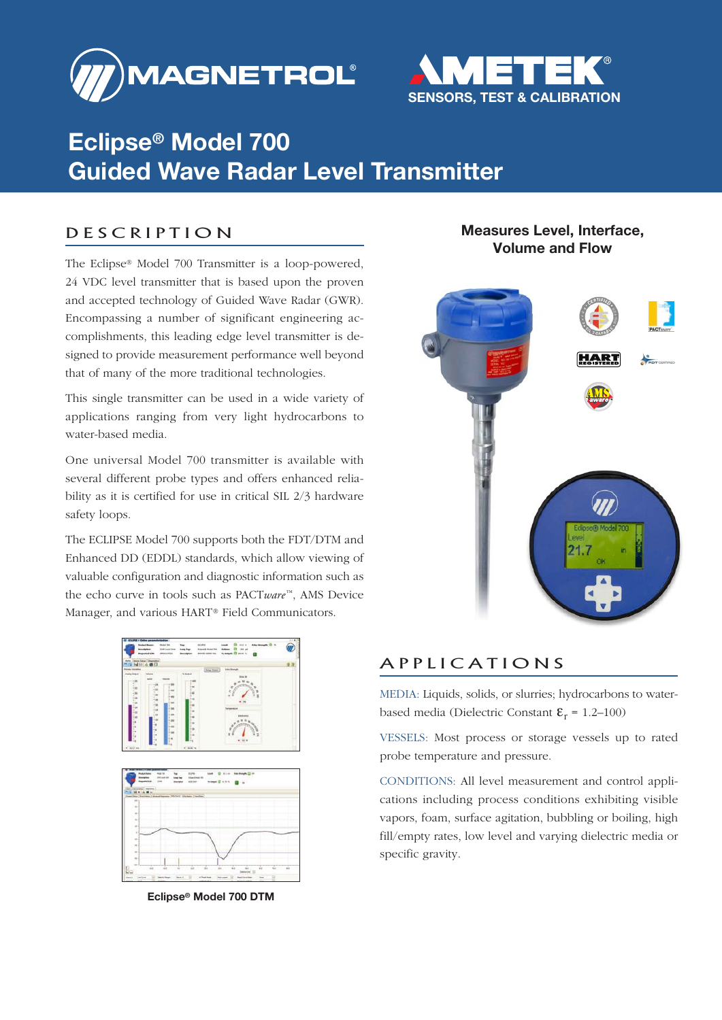



# **Eclipse® Model 700 Guided Wave Radar Level Transmitter**

### D E S C R I P T I O N

The Eclipse® Model 700 Transmitter is a loop-powered, 24 VDC level transmitter that is based upon the proven and accepted technology of Guided Wave Radar (GWR). Encompassing a number of significant engineering accomplishments, this leading edge level transmitter is designed to provide measurement performance well beyond that of many of the more traditional technologies.

This single transmitter can be used in a wide variety of applications ranging from very light hydrocarbons to water-based media.

One universal Model 700 transmitter is available with several different probe types and offers enhanced reliability as it is certified for use in critical SIL 2/3 hardware safety loops.

The ECLIPSE Model 700 supports both the FDT/DTM and Enhanced DD (EDDL) standards, which allow viewing of valuable configuration and diagnostic information such as the echo curve in tools such as PACT*ware* ™, AMS Device Manager, and various HART® Field Communicators.





**Eclipse® Model 700 DTM**

### **Measures Level, Interface, Volume and Flow**



### A P P L I C A T I O N S

MEDIA: Liquids, solids, or slurries; hydrocarbons to waterbased media (Dielectric Constant  $\mathbf{\varepsilon}_{r}$  = 1.2–100)

VESSELS: Most process or storage vessels up to rated probe temperature and pressure.

CONDITIONS: All level measurement and control applications including process conditions exhibiting visible vapors, foam, surface agitation, bubbling or boiling, high fill/empty rates, low level and varying dielectric media or specific gravity.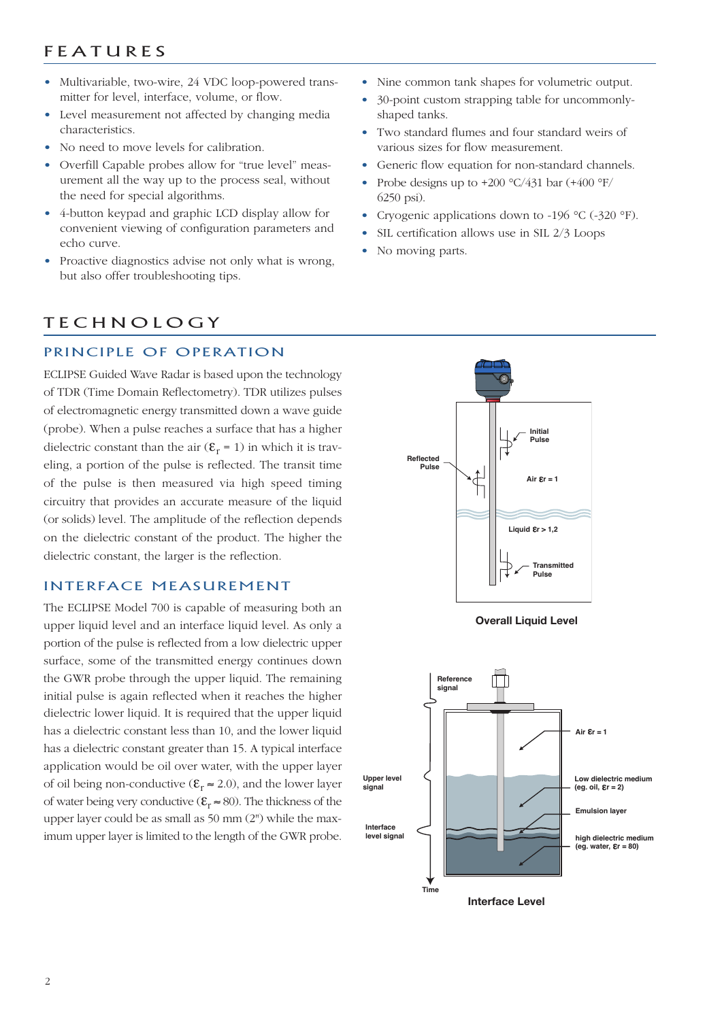### **F E A T U R E S**

- Multivariable, two-wire, 24 VDC loop-powered transmitter for level, interface, volume, or flow.
- Level measurement not affected by changing media characteristics.
- No need to move levels for calibration.
- Overfill Capable probes allow for "true level" measurement all the way up to the process seal, without the need for special algorithms.
- 4-button keypad and graphic LCD display allow for convenient viewing of configuration parameters and echo curve.
- Proactive diagnostics advise not only what is wrong, but also offer troubleshooting tips.

### **TECHNOLOGY**

#### PRINCIPLE OF OPERATION

ECLIPSE Guided Wave Radar is based upon the technology of TDR (Time Domain Reflectometry). TDR utilizes pulses of electromagnetic energy transmitted down a wave guide (probe). When a pulse reaches a surface that has a higher dielectric constant than the air  $(\mathcal{E}_r = 1)$  in which it is traveling, a portion of the pulse is reflected. The transit time of the pulse is then measured via high speed timing circuitry that provides an accurate measure of the liquid (or solids) level. The amplitude of the reflection depends on the dielectric constant of the product. The higher the dielectric constant, the larger is the reflection.

#### INTERFACE MEASUREMENT

The ECLIPSE Model 700 is capable of measuring both an upper liquid level and an interface liquid level. As only a portion of the pulse is reflected from a low dielectric upper surface, some of the transmitted energy continues down the GWR probe through the upper liquid. The remaining initial pulse is again reflected when it reaches the higher dielectric lower liquid. It is required that the upper liquid has a dielectric constant less than 10, and the lower liquid has a dielectric constant greater than 15. A typical interface application would be oil over water, with the upper layer of oil being non-conductive ( $\mathbf{\varepsilon}_r \approx 2.0$ ), and the lower layer of water being very conductive ( $\mathbf{\varepsilon}_{r} \approx 80$ ). The thickness of the upper layer could be as small as 50 mm (2") while the maximum upper layer is limited to the length of the GWR probe.

- Nine common tank shapes for volumetric output.
- 30-point custom strapping table for uncommonlyshaped tanks.
- Two standard flumes and four standard weirs of various sizes for flow measurement.
- Generic flow equation for non-standard channels.
- Probe designs up to  $+200 \degree C/431$  bar  $(+400 \degree F/$ 6250 psi).
- Cryogenic applications down to -196 °C (-320 °F).
- SIL certification allows use in SIL 2/3 Loops
- No moving parts.





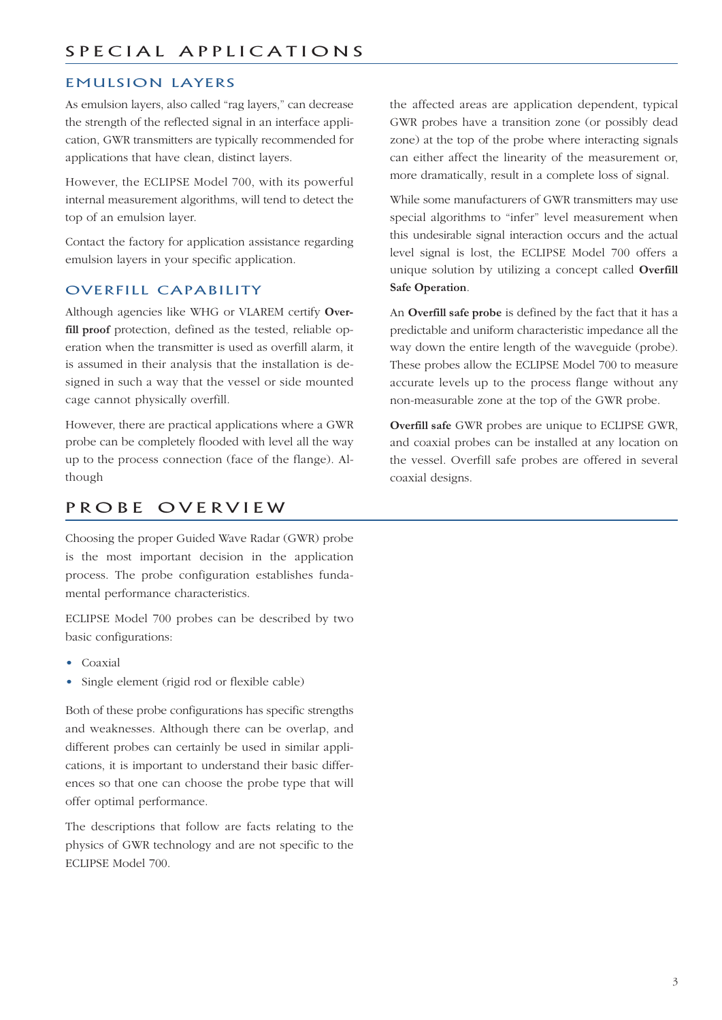### EMULSION LAYERS

As emulsion layers, also called "rag layers," can decrease the strength of the reflected signal in an interface application, GWR transmitters are typically recommended for applications that have clean, distinct layers.

However, the ECLIPSE Model 700, with its powerful internal measurement algorithms, will tend to detect the top of an emulsion layer.

Contact the factory for application assistance regarding emulsion layers in your specific application.

### OVERFILL CAPABILITY

Although agencies like WHG or VLAREM certify **Overfill proof** protection, defined as the tested, reliable operation when the transmitter is used as overfill alarm, it is assumed in their analysis that the installation is designed in such a way that the vessel or side mounted cage cannot physically overfill.

However, there are practical applications where a GWR probe can be completely flooded with level all the way up to the process connection (face of the flange). Although

### PROBE OVERVIEW

Choosing the proper Guided Wave Radar (GWR) probe is the most important decision in the application process. The probe configuration establishes fundamental performance characteristics.

ECLIPSE Model 700 probes can be described by two basic configurations:

- Coaxial
- Single element (rigid rod or flexible cable)

Both of these probe configurations has specific strengths and weaknesses. Although there can be overlap, and different probes can certainly be used in similar applications, it is important to understand their basic differences so that one can choose the probe type that will offer optimal performance.

The descriptions that follow are facts relating to the physics of GWR technology and are not specific to the ECLIPSE Model 700.

the affected areas are application dependent, typical GWR probes have a transition zone (or possibly dead zone) at the top of the probe where interacting signals can either affect the linearity of the measurement or, more dramatically, result in a complete loss of signal.

While some manufacturers of GWR transmitters may use special algorithms to "infer" level measurement when this undesirable signal interaction occurs and the actual level signal is lost, the ECLIPSE Model 700 offers a unique solution by utilizing a concept called **Overfill Safe Operation**.

An **Overfill safe probe** is defined by the fact that it has a predictable and uniform characteristic impedance all the way down the entire length of the waveguide (probe). These probes allow the ECLIPSE Model 700 to measure accurate levels up to the process flange without any non-measurable zone at the top of the GWR probe.

**Overfill safe** GWR probes are unique to ECLIPSE GWR, and coaxial probes can be installed at any location on the vessel. Overfill safe probes are offered in several coaxial designs.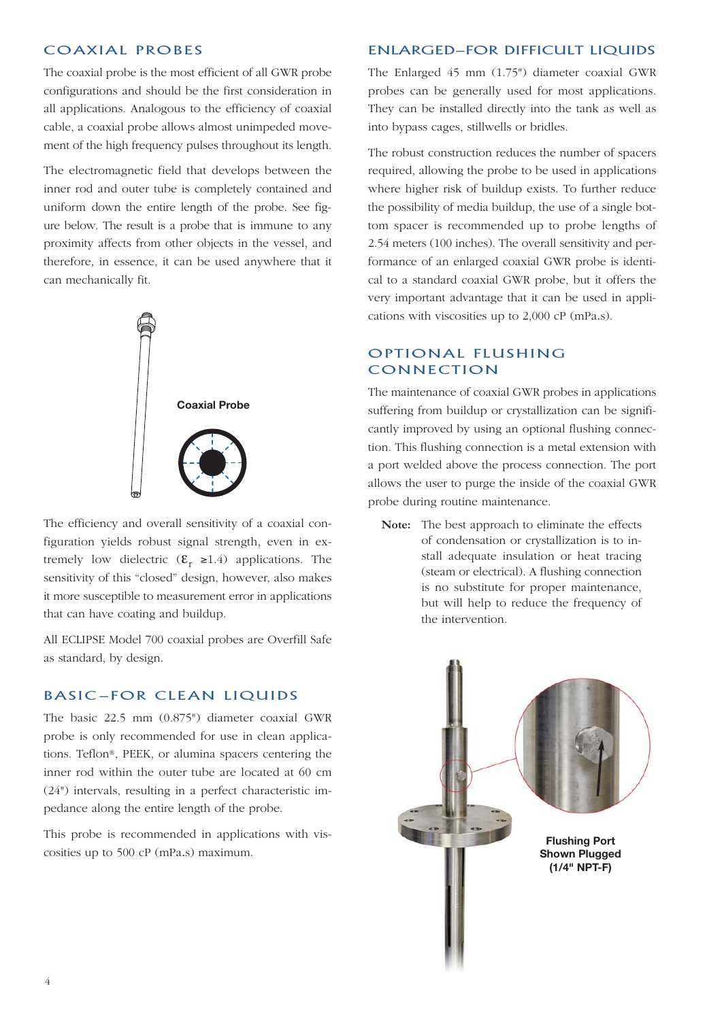#### COAXIAL PROBES

The coaxial probe is the most efficient of all GWR probe configurations and should be the first consideration in all applications. Analogous to the efficiency of coaxial cable, a coaxial probe allows almost unimpeded movement of the high frequency pulses throughout its length.

The electromagnetic field that develops between the inner rod and outer tube is completely contained and uniform down the entire length of the probe. See figure below. The result is a probe that is immune to any proximity affects from other objects in the vessel, and therefore, in essence, it can be used anywhere that it can mechanically fit.



The efficiency and overall sensitivity of a coaxial configuration yields robust signal strength, even in extremely low dielectric  $(\mathbf{\varepsilon}_{r} \ge 1.4)$  applications. The sensitivity of this "closed" design, however, also makes it more susceptible to measurement error in applications that can have coating and buildup.

All ECLIPSE Model 700 coaxial probes are Overfill Safe as standard, by design.

#### **BASIC-FOR CLEAN LIQUIDS**

The basic 22.5 mm (0.875") diameter coaxial GWR probe is only recommended for use in clean applications. Teflon®, PEEK, or alumina spacers centering the inner rod within the outer tube are located at 60 cm (24") intervals, resulting in a perfect characteristic impedance along the entire length of the probe.

This probe is recommended in applications with viscosities up to 500 cP (mPa.s) maximum.

#### ENLARGED—FOR DIFFICULT LIQUIDS

The Enlarged 45 mm (1.75") diameter coaxial GWR probes can be generally used for most applications. They can be installed directly into the tank as well as into bypass cages, stillwells or bridles.

The robust construction reduces the number of spacers required, allowing the probe to be used in applications where higher risk of buildup exists. To further reduce the possibility of media buildup, the use of a single bottom spacer is recommended up to probe lengths of 2.54 meters (100 inches). The overall sensitivity and performance of an enlarged coaxial GWR probe is identical to a standard coaxial GWR probe, but it offers the very important advantage that it can be used in applications with viscosities up to 2,000 cP (mPa.s).

### OPTIONAL FLUSHING **CONNECTION**

The maintenance of coaxial GWR probes in applications suffering from buildup or crystallization can be significantly improved by using an optional flushing connection. This flushing connection is a metal extension with a port welded above the process connection. The port allows the user to purge the inside of the coaxial GWR probe during routine maintenance.

**Note:** The best approach to eliminate the effects of condensation or crystallization is to install adequate insulation or heat tracing (steam or electrical). A flushing connection is no substitute for proper maintenance, but will help to reduce the frequency of the intervention.

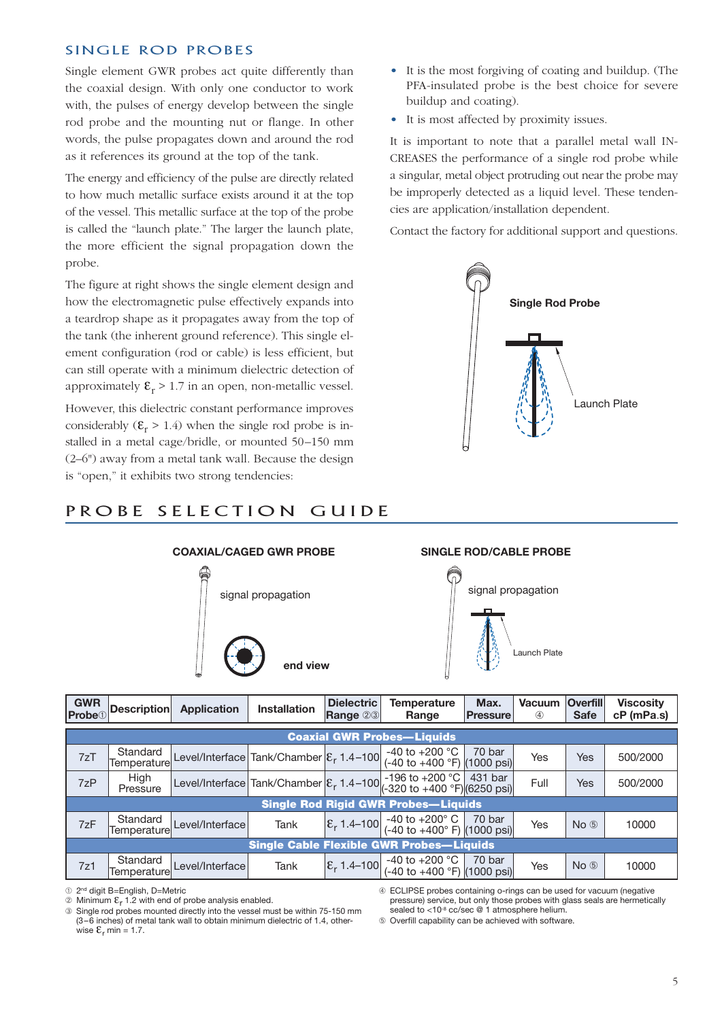#### SINGLE ROD PROBES

Single element GWR probes act quite differently than the coaxial design. With only one conductor to work with, the pulses of energy develop between the single rod probe and the mounting nut or flange. In other words, the pulse propagates down and around the rod as it references its ground at the top of the tank.

The energy and efficiency of the pulse are directly related to how much metallic surface exists around it at the top of the vessel. This metallic surface at the top of the probe is called the "launch plate." The larger the launch plate, the more efficient the signal propagation down the probe.

The figure at right shows the single element design and how the electromagnetic pulse effectively expands into a teardrop shape as it propagates away from the top of the tank (the inherent ground reference). This single element configuration (rod or cable) is less efficient, but can still operate with a minimum dielectric detection of approximately  $\mathcal{E}_r > 1.7$  in an open, non-metallic vessel.

However, this dielectric constant performance improves considerably  $(\mathcal{E}_r > 1.4)$  when the single rod probe is installed in a metal cage/bridle, or mounted 50–150 mm (2–6") away from a metal tank wall. Because the design is "open," it exhibits two strong tendencies:

PROBE SELECTION GUIDE

- It is the most forgiving of coating and buildup. (The PFA-insulated probe is the best choice for severe buildup and coating).
- It is most affected by proximity issues.

It is important to note that a parallel metal wall IN-CREASES the performance of a single rod probe while a singular, metal object protruding out near the probe may be improperly detected as a liquid level. These tendencies are application/installation dependent.

Contact the factory for additional support and questions.



# **COAXIAL/CAGED GWR PROBE SINGLE ROD/CABLE PROBE** signal propagation signal propagation **end view** Launch Plate

| <b>GWR</b><br><b>Probe</b> <sup>1</sup> | <b>Description</b>                | <b>Application</b>                                   | <b>Installation</b> | <b>Dielectric</b><br><b>Range 23</b> | <b>Temperature</b><br>Range                                                                                                                                                                    | Max.<br><b>Pressure</b> | <b>Vacuum</b><br>$\circled{4}$ | <b>Overfill</b><br><b>Safe</b> | <b>Viscosity</b><br>cP (mPa.s) |  |  |
|-----------------------------------------|-----------------------------------|------------------------------------------------------|---------------------|--------------------------------------|------------------------------------------------------------------------------------------------------------------------------------------------------------------------------------------------|-------------------------|--------------------------------|--------------------------------|--------------------------------|--|--|
|                                         | <b>Coaxial GWR Probes-Liquids</b> |                                                      |                     |                                      |                                                                                                                                                                                                |                         |                                |                                |                                |  |  |
| 7zT                                     | Standard<br>Temperature           | Level/Interface Tank/Chamber $\mathcal{E}_r$ 1.4-100 |                     |                                      | -40 to +200 $^{\circ}$ C<br>(-40 to +400 °F) (1000 psi)                                                                                                                                        | 70 bar                  | Yes                            | <b>Yes</b>                     | 500/2000                       |  |  |
| 7zP                                     | High<br>Pressure                  |                                                      |                     |                                      | Level/Interface Tank/Chamber $\left \mathcal{E}_r 1.4-100\right _{(-320 \text{ to } +400 \text{ °F})\setminus(6250 \text{ psi})}$                                                              |                         | Full                           | Yes                            | 500/2000                       |  |  |
|                                         |                                   |                                                      |                     |                                      | <b>Single Rod Rigid GWR Probes-Liquids</b>                                                                                                                                                     |                         |                                |                                |                                |  |  |
| 7zF                                     | Standard<br>Temperature           | Level/Interface                                      | Tank                |                                      | $\left \mathcal{E}_{r}\right $ 1.4–100 $\left \begin{array}{cc}$ -40 to +200° C $\left $ 70 bar $\left \mathcal{E}_{r}\right $ 1.4–100 (-40 to +400° F) (1000 psi)                             |                         | Yes                            | $No$ $(b)$                     | 10000                          |  |  |
|                                         |                                   |                                                      |                     |                                      | <b>Single Cable Flexible GWR Probes-Liquids</b>                                                                                                                                                |                         |                                |                                |                                |  |  |
| 7z1                                     | Standard<br>Temperature           | Level/Interface                                      | Tank                |                                      | $\left \mathcal{E}_{r}\right $ 1.4–100 $\left \begin{array}{cc} -40 \text{ to } +200 \text{ °C} & 70 \text{ bar} \\ (-40 \text{ to } +400 \text{ °F}) & (1000 \text{ psi}) \end{array}\right $ |                         | Yes                            | $No$ $(b)$                     | 10000                          |  |  |

¿ 2nd digit B=English, D=Metric

√ ECLIPSE probes containing o-rings can be used for vacuum (negative pressure) service, but only those probes with glass seals are hermetically sealed to <10<sup>-8</sup> cc/sec @ 1 atmosphere helium

ƒ Overfill capability can be achieved with software.

 $\circledR$  Minimum  $\epsilon_r$  1.2 with end of probe analysis enabled.

 $\circledR$  Single rod probes mounted directly into the vessel must be within 75-150 mm (3–6 inches) of metal tank wall to obtain minimum dielectric of 1.4, otherwise  $\mathcal{E}_r$  min = 1.7.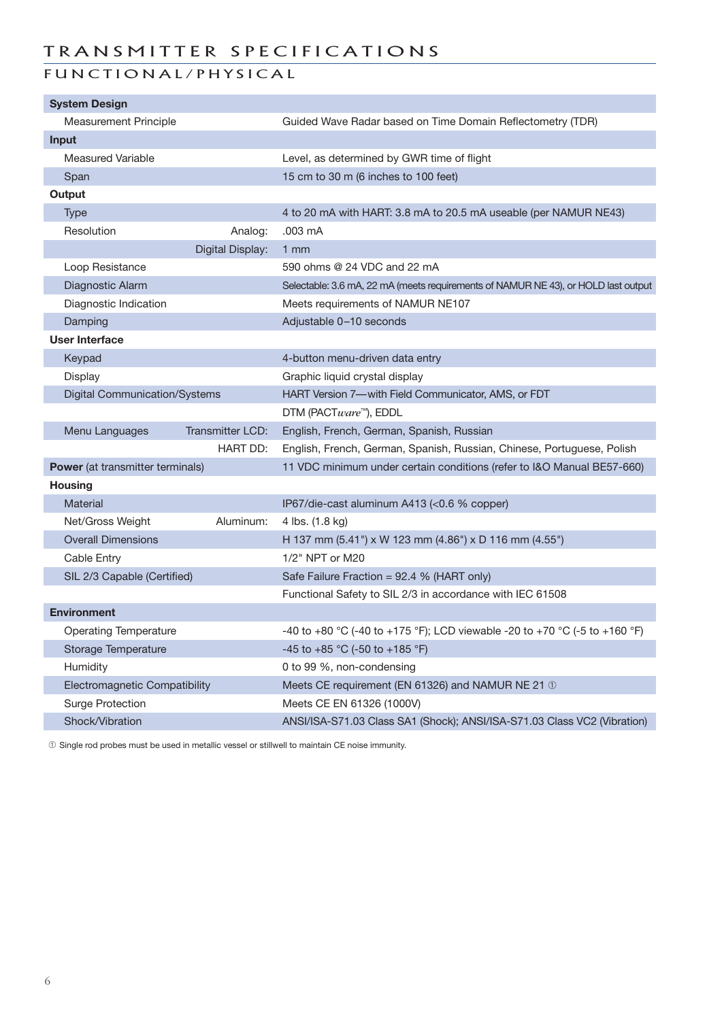### TRANSMITTER SPECIFICATIONS

### FUNCTIONAL/PHYSICAL

| <b>System Design</b>                 |                  |                                                                                    |
|--------------------------------------|------------------|------------------------------------------------------------------------------------|
| <b>Measurement Principle</b>         |                  | Guided Wave Radar based on Time Domain Reflectometry (TDR)                         |
| <b>Input</b>                         |                  |                                                                                    |
| <b>Measured Variable</b>             |                  | Level, as determined by GWR time of flight                                         |
| Span                                 |                  | 15 cm to 30 m (6 inches to 100 feet)                                               |
| Output                               |                  |                                                                                    |
| Type                                 |                  | 4 to 20 mA with HART: 3.8 mA to 20.5 mA useable (per NAMUR NE43)                   |
| Resolution                           | Analog:          | .003 mA                                                                            |
|                                      | Digital Display: | $1$ mm                                                                             |
| Loop Resistance                      |                  | 590 ohms @ 24 VDC and 22 mA                                                        |
| Diagnostic Alarm                     |                  | Selectable: 3.6 mA, 22 mA (meets requirements of NAMUR NE 43), or HOLD last output |
| Diagnostic Indication                |                  | Meets requirements of NAMUR NE107                                                  |
| Damping                              |                  | Adjustable 0-10 seconds                                                            |
| <b>User Interface</b>                |                  |                                                                                    |
| Keypad                               |                  | 4-button menu-driven data entry                                                    |
| Display                              |                  | Graphic liquid crystal display                                                     |
| <b>Digital Communication/Systems</b> |                  | HART Version 7-with Field Communicator, AMS, or FDT                                |
|                                      |                  | DTM (PACTware™), EDDL                                                              |
| Menu Languages                       | Transmitter LCD: | English, French, German, Spanish, Russian                                          |
|                                      | <b>HART DD:</b>  | English, French, German, Spanish, Russian, Chinese, Portuguese, Polish             |
| Power (at transmitter terminals)     |                  | 11 VDC minimum under certain conditions (refer to I&O Manual BE57-660)             |
| <b>Housing</b>                       |                  |                                                                                    |
| Material                             |                  | IP67/die-cast aluminum A413 (<0.6 % copper)                                        |
| Net/Gross Weight                     | Aluminum:        | 4 lbs. (1.8 kg)                                                                    |
| <b>Overall Dimensions</b>            |                  | H 137 mm (5.41") x W 123 mm (4.86") x D 116 mm (4.55")                             |
| Cable Entry                          |                  | 1/2" NPT or M20                                                                    |
| SIL 2/3 Capable (Certified)          |                  | Safe Failure Fraction = 92.4 % (HART only)                                         |
|                                      |                  | Functional Safety to SIL 2/3 in accordance with IEC 61508                          |
| <b>Environment</b>                   |                  |                                                                                    |
| <b>Operating Temperature</b>         |                  | -40 to +80 °C (-40 to +175 °F); LCD viewable -20 to +70 °C (-5 to +160 °F)         |
| <b>Storage Temperature</b>           |                  | -45 to +85 °C (-50 to +185 °F)                                                     |
| Humidity                             |                  | 0 to 99 %, non-condensing                                                          |
| Electromagnetic Compatibility        |                  | Meets CE requirement (EN 61326) and NAMUR NE 21 1                                  |
| <b>Surge Protection</b>              |                  | Meets CE EN 61326 (1000V)                                                          |
| Shock/Vibration                      |                  | ANSI/ISA-S71.03 Class SA1 (Shock); ANSI/ISA-S71.03 Class VC2 (Vibration)           |

¿ Single rod probes must be used in metallic vessel or stillwell to maintain CE noise immunity.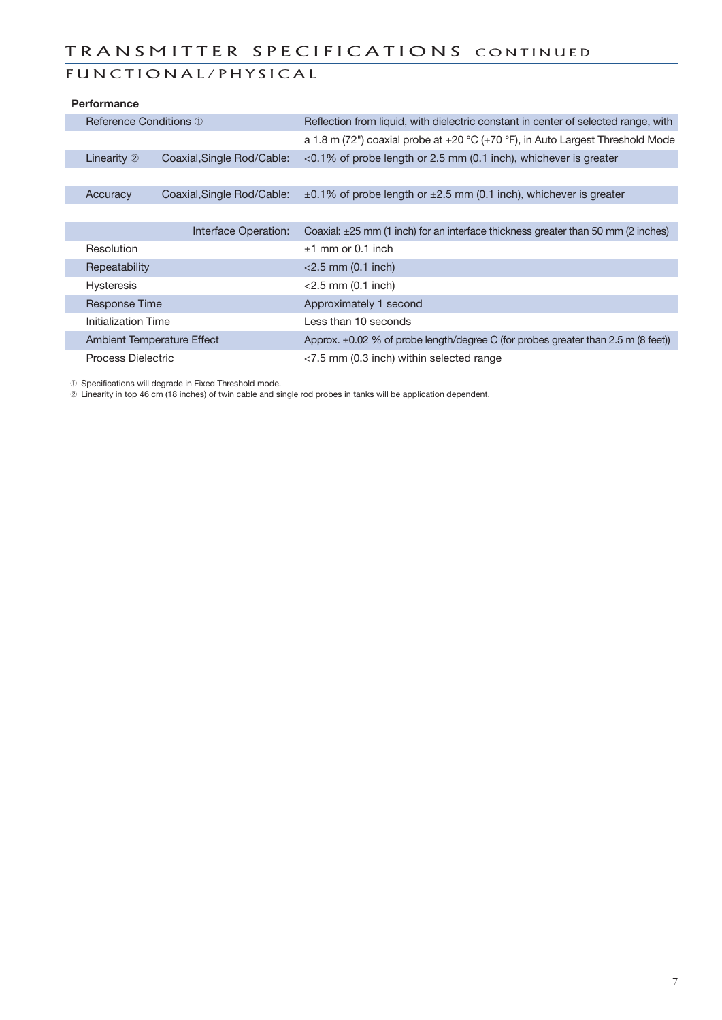### TRANSMITTER SPECIFICATIONS CONTINUED

### FUNCTIONAL/PHYSICAL

|                    | <b>Performance</b>                |                            |                                                                                        |  |  |  |
|--------------------|-----------------------------------|----------------------------|----------------------------------------------------------------------------------------|--|--|--|
|                    | Reference Conditions ①            |                            | Reflection from liquid, with dielectric constant in center of selected range, with     |  |  |  |
|                    |                                   |                            | a 1.8 m (72") coaxial probe at +20 °C (+70 °F), in Auto Largest Threshold Mode         |  |  |  |
|                    | Linearity 2                       | Coaxial, Single Rod/Cable: | $<$ 0.1% of probe length or 2.5 mm (0.1 inch), whichever is greater                    |  |  |  |
|                    |                                   |                            |                                                                                        |  |  |  |
|                    | Accuracy                          | Coaxial, Single Rod/Cable: | $\pm$ 0.1% of probe length or $\pm$ 2.5 mm (0.1 inch), whichever is greater            |  |  |  |
|                    |                                   |                            |                                                                                        |  |  |  |
|                    |                                   | Interface Operation:       | Coaxial: $\pm 25$ mm (1 inch) for an interface thickness greater than 50 mm (2 inches) |  |  |  |
|                    | Resolution                        |                            | $±1$ mm or 0.1 inch                                                                    |  |  |  |
|                    | Repeatability                     |                            | $<$ 2.5 mm (0.1 inch)                                                                  |  |  |  |
|                    | <b>Hysteresis</b>                 |                            | $<$ 2.5 mm (0.1 inch)                                                                  |  |  |  |
|                    | <b>Response Time</b>              |                            | Approximately 1 second                                                                 |  |  |  |
|                    | Initialization Time               |                            | Less than 10 seconds                                                                   |  |  |  |
|                    | <b>Ambient Temperature Effect</b> |                            | Approx. $\pm 0.02$ % of probe length/degree C (for probes greater than 2.5 m (8 feet)) |  |  |  |
| Process Dielectric |                                   |                            | $<$ 7.5 mm (0.3 inch) within selected range                                            |  |  |  |

¿ Specifications will degrade in Fixed Threshold mode.

<sup>2</sup> Linearity in top 46 cm (18 inches) of twin cable and single rod probes in tanks will be application dependent.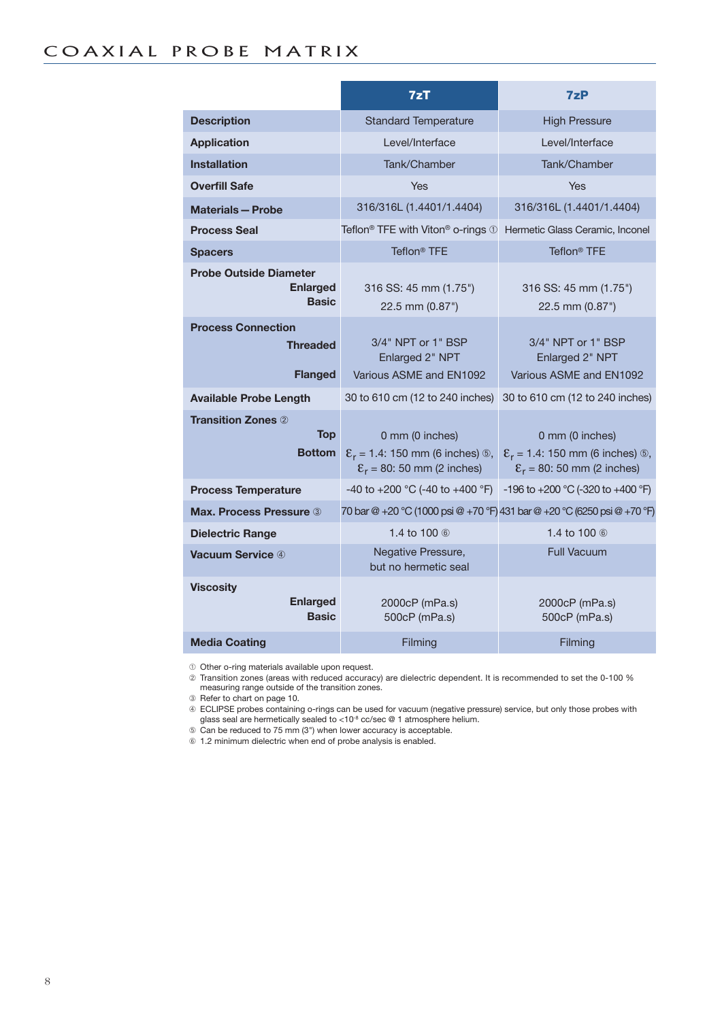|                                                                  | 7zT                                                                                                                      | 7zP                                                                                                                  |  |  |
|------------------------------------------------------------------|--------------------------------------------------------------------------------------------------------------------------|----------------------------------------------------------------------------------------------------------------------|--|--|
| <b>Description</b>                                               | <b>Standard Temperature</b>                                                                                              | <b>High Pressure</b>                                                                                                 |  |  |
| <b>Application</b>                                               | Level/Interface                                                                                                          | Level/Interface                                                                                                      |  |  |
| <b>Installation</b>                                              | Tank/Chamber                                                                                                             | Tank/Chamber                                                                                                         |  |  |
| <b>Overfill Safe</b>                                             | Yes                                                                                                                      | <b>Yes</b>                                                                                                           |  |  |
| <b>Materials - Probe</b>                                         | 316/316L (1.4401/1.4404)                                                                                                 | 316/316L (1.4401/1.4404)                                                                                             |  |  |
| <b>Process Seal</b>                                              | Teflon <sup>®</sup> TFE with Viton <sup>®</sup> o-rings 1                                                                | Hermetic Glass Ceramic, Inconel                                                                                      |  |  |
| <b>Spacers</b>                                                   | Teflon <sup>®</sup> TFE                                                                                                  | Teflon <sup>®</sup> TFE                                                                                              |  |  |
| <b>Probe Outside Diameter</b><br><b>Enlarged</b><br><b>Basic</b> | 316 SS: 45 mm (1.75")<br>22.5 mm (0.87")                                                                                 | 316 SS: 45 mm (1.75")<br>22.5 mm (0.87")                                                                             |  |  |
| <b>Process Connection</b><br><b>Threaded</b><br><b>Flanged</b>   | 3/4" NPT or 1" BSP<br>Enlarged 2" NPT<br>Various ASME and EN1092                                                         | 3/4" NPT or 1" BSP<br>Enlarged 2" NPT<br>Various ASME and EN1092                                                     |  |  |
| <b>Available Probe Length</b>                                    | 30 to 610 cm (12 to 240 inches)                                                                                          | 30 to 610 cm (12 to 240 inches)                                                                                      |  |  |
| <b>Transition Zones 2</b><br><b>Top</b><br><b>Bottom</b>         | 0 mm (0 inches)<br>$\mathcal{E}_r = 1.4$ : 150 mm (6 inches) $\circledcirc$ ,<br>$\mathcal{E}_r = 80$ : 50 mm (2 inches) | 0 mm (0 inches)<br>$\mathcal{E}_r = 1.4$ : 150 mm (6 inches) $\circledS$ ,<br>$\mathcal{E}_r$ = 80: 50 mm (2 inches) |  |  |
| <b>Process Temperature</b>                                       | -40 to +200 °C (-40 to +400 °F)                                                                                          | -196 to +200 °C (-320 to +400 °F)                                                                                    |  |  |
| <b>Max. Process Pressure 3</b>                                   | 70 bar @ +20 °C (1000 psi @ +70 °F) 431 bar @ +20 °C (6250 psi @ +70 °F)                                                 |                                                                                                                      |  |  |
| <b>Dielectric Range</b>                                          | 1.4 to 100 ⑥                                                                                                             | 1.4 to 100 ⑥                                                                                                         |  |  |
| Vacuum Service 4                                                 | Negative Pressure,<br>but no hermetic seal                                                                               | <b>Full Vacuum</b>                                                                                                   |  |  |
| <b>Viscosity</b><br><b>Enlarged</b><br><b>Basic</b>              | 2000cP (mPa.s)<br>500cP (mPa.s)                                                                                          | 2000cP (mPa.s)<br>500cP (mPa.s)                                                                                      |  |  |
| <b>Media Coating</b>                                             | Filming                                                                                                                  | Filming                                                                                                              |  |  |

¿ Other o-ring materials available upon request.

 $\oslash$  Transition zones (areas with reduced accuracy) are dielectric dependent. It is recommended to set the 0-100 % measuring range outside of the transition zones.

 $\circledR$  Refer to chart on page 10.

√ ECLIPSE probes containing o-rings can be used for vacuum (negative pressure) service, but only those probes with glass seal are hermetically sealed to <10<sup>-8</sup> cc/sec @ 1 atmosphere helium.

 $\circledcirc$  Can be reduced to 75 mm (3") when lower accuracy is acceptable.

≈ 1.2 minimum dielectric when end of probe analysis is enabled.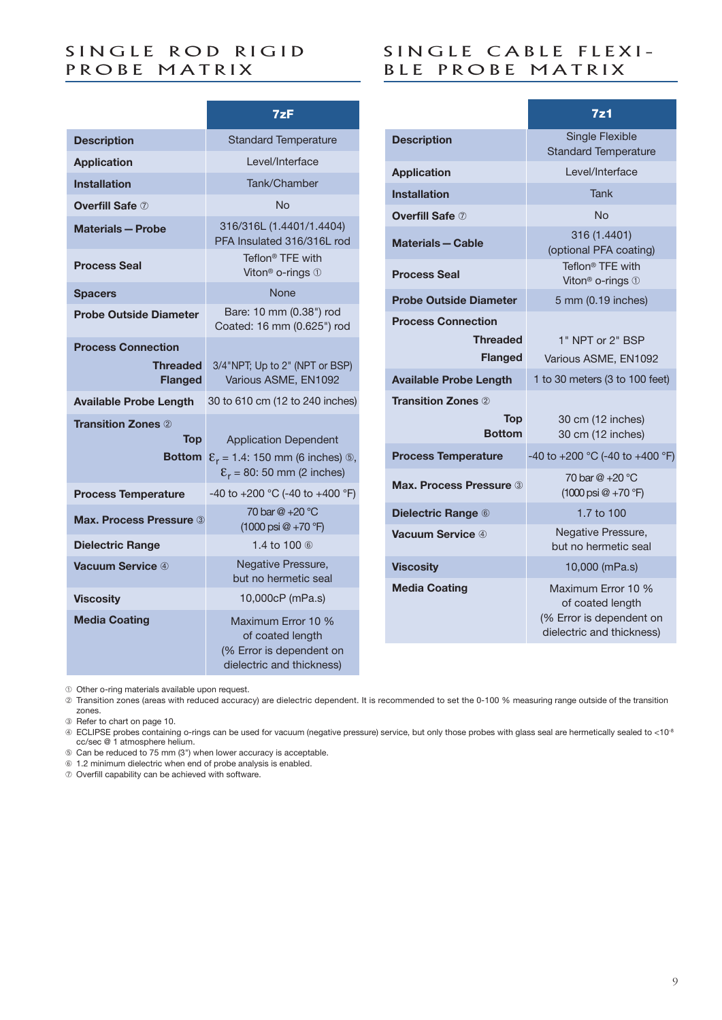### SINGLE ROD RIGID PROBE MATRIX

|                                                                | 7zF                                                                                                                               |
|----------------------------------------------------------------|-----------------------------------------------------------------------------------------------------------------------------------|
| <b>Description</b>                                             | <b>Standard Temperature</b>                                                                                                       |
| <b>Application</b>                                             | Level/Interface                                                                                                                   |
| <b>Installation</b>                                            | Tank/Chamber                                                                                                                      |
| <b>Overfill Safe 7</b>                                         | Nο                                                                                                                                |
| <b>Materials - Probe</b>                                       | 316/316L (1.4401/1.4404)<br>PFA Insulated 316/316L rod                                                                            |
| <b>Process Seal</b>                                            | Teflon <sup>®</sup> TFE with<br>Viton <sup>®</sup> o-rings 1                                                                      |
| <b>Spacers</b>                                                 | <b>None</b>                                                                                                                       |
| <b>Probe Outside Diameter</b>                                  | Bare: 10 mm (0.38") rod<br>Coated: 16 mm (0.625") rod                                                                             |
| <b>Process Connection</b><br><b>Threaded</b><br><b>Flanged</b> | 3/4"NPT; Up to 2" (NPT or BSP)<br>Various ASME, EN1092                                                                            |
| <b>Available Probe Length</b>                                  | 30 to 610 cm (12 to 240 inches)                                                                                                   |
| <b>Transition Zones 2</b><br><b>Top</b><br><b>Bottom</b>       | <b>Application Dependent</b><br>$\mathcal{E}_r = 1.4$ : 150 mm (6 inches) $\circledS$ ,<br>$\mathcal{E}_r$ = 80: 50 mm (2 inches) |
| <b>Process Temperature</b>                                     | -40 to +200 °C (-40 to +400 °F)                                                                                                   |
| <b>Max. Process Pressure 3</b>                                 | 70 bar @ +20 °C<br>$(1000 \text{ psi} @ + 70 \text{ }^{\circ}\text{F})$                                                           |
| <b>Dielectric Range</b>                                        | 1.4 to 100 6                                                                                                                      |
| Vacuum Service 4                                               | Negative Pressure,<br>but no hermetic seal                                                                                        |
| <b>Viscosity</b>                                               | 10,000cP (mPa.s)                                                                                                                  |
| <b>Media Coating</b>                                           | Maximum Error 10 %<br>of coated length<br>(% Error is dependent on<br>dielectric and thickness)                                   |

### SINGLE CABLE FLEXI-BLE PROBE MATRIX

|                                                                | 7z1                                                                                             |
|----------------------------------------------------------------|-------------------------------------------------------------------------------------------------|
| <b>Description</b>                                             | <b>Single Flexible</b><br><b>Standard Temperature</b>                                           |
| <b>Application</b>                                             | Level/Interface                                                                                 |
| <b>Installation</b>                                            | <b>Tank</b>                                                                                     |
| <b>Overfill Safe 7</b>                                         | <b>No</b>                                                                                       |
| <b>Materials - Cable</b>                                       | 316 (1.4401)<br>(optional PFA coating)                                                          |
| <b>Process Seal</b>                                            | Teflon <sup>®</sup> TFE with<br>Viton <sup>®</sup> o-rings 1                                    |
| <b>Probe Outside Diameter</b>                                  | 5 mm (0.19 inches)                                                                              |
| <b>Process Connection</b><br><b>Threaded</b><br><b>Flanged</b> | 1" NPT or 2" BSP<br>Various ASME, EN1092                                                        |
| <b>Available Probe Length</b>                                  | 1 to 30 meters (3 to 100 feet)                                                                  |
| <b>Transition Zones 2</b>                                      |                                                                                                 |
| Top<br><b>Bottom</b>                                           | 30 cm (12 inches)<br>30 cm (12 inches)                                                          |
| <b>Process Temperature</b>                                     | -40 to +200 °C (-40 to +400 °F)                                                                 |
| <b>Max. Process Pressure 3</b>                                 | 70 har $@ + 20 °C$<br>$(1000 \text{ psi } @ + 70 \text{ }^{\circ}F)$                            |
| <b>Dielectric Range 6</b>                                      | 1.7 to 100                                                                                      |
| <b>Vacuum Service</b> 4                                        | Negative Pressure,<br>but no hermetic seal                                                      |
| <b>Viscosity</b>                                               | 10,000 (mPa.s)                                                                                  |
| <b>Media Coating</b>                                           | Maximum Error 10 %<br>of coated length<br>(% Error is dependent on<br>dielectric and thickness) |

 $O$  Other o-ring materials available upon request.

¡ Transition zones (areas with reduced accuracy) are dielectric dependent. It is recommended to set the 0-100 % measuring range outside of the transition zones.

 $\circ$  Refer to chart on page 10.

 ECLIPSE probes containing o-rings can be used for vacuum (negative pressure) service, but only those probes with glass seal are hermetically sealed to <10<sup>-8</sup> cc/sec @ 1 atmosphere helium.

ƒ Can be reduced to 75 mm (3") when lower accuracy is acceptable.

≈ 1.2 minimum dielectric when end of probe analysis is enabled.

∆ Overfill capability can be achieved with software.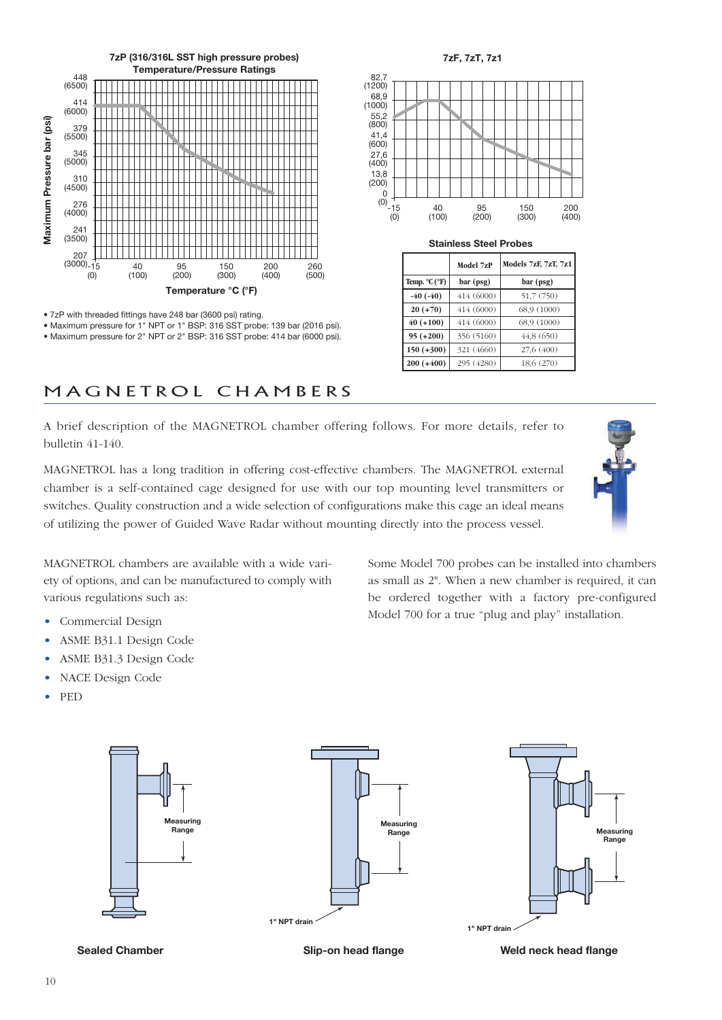

<sup>• 7</sup>zP with threaded fittings have 248 bar (3600 psi) rating.

• Maximum pressure for 1" NPT or 1" BSP: 316 SST probe: 139 bar (2016 psi). • Maximum pressure for 2" NPT or 2" BSP: 316 SST probe: 414 bar (6000 psi).



**Stainless Steel Probes**

|               | Model 7zP  | Models 7zF, 7zT, 7z1 |
|---------------|------------|----------------------|
| Temp. °C (°F) | bar (psg)  | bar (psg)            |
| $-40(-40)$    | 414 (6000) | 51,7 (750)           |
| $20 (+70)$    | 414 (6000) | 68,9 (1000)          |
| $40 (+100)$   | 414 (6000) | 68,9 (1000)          |
| $95 (+200)$   | 356 (5160) | 44,8 (650)           |
| $150 (+300)$  | 321 (4660) | 27,6 (400)           |
| $200 (+400)$  | 295 (4280) | 18,6 (270)           |

Some Model 700 probes can be installed into chambers as small as 2". When a new chamber is required, it can be ordered together with a factory pre-configured Model 700 for a true "plug and play" installation.

### M A G N E T R O L C H A M B E R S

A brief description of the MAGNETROL chamber offering follows. For more details, refer to bulletin 41-140.

MAGNETROL has a long tradition in offering cost-effective chambers. The MAGNETROL external chamber is a self-contained cage designed for use with our top mounting level transmitters or switches. Quality construction and a wide selection of configurations make this cage an ideal means of utilizing the power of Guided Wave Radar without mounting directly into the process vessel.



MAGNETROL chambers are available with a wide variety of options, and can be manufactured to comply with various regulations such as:

- Commercial Design
- ASME B31.1 Design Code
- ASME B31.3 Design Code
- NACE Design Code
- PED









**Sealed Chamber Slip-on head flange Weld neck head flange**

### 10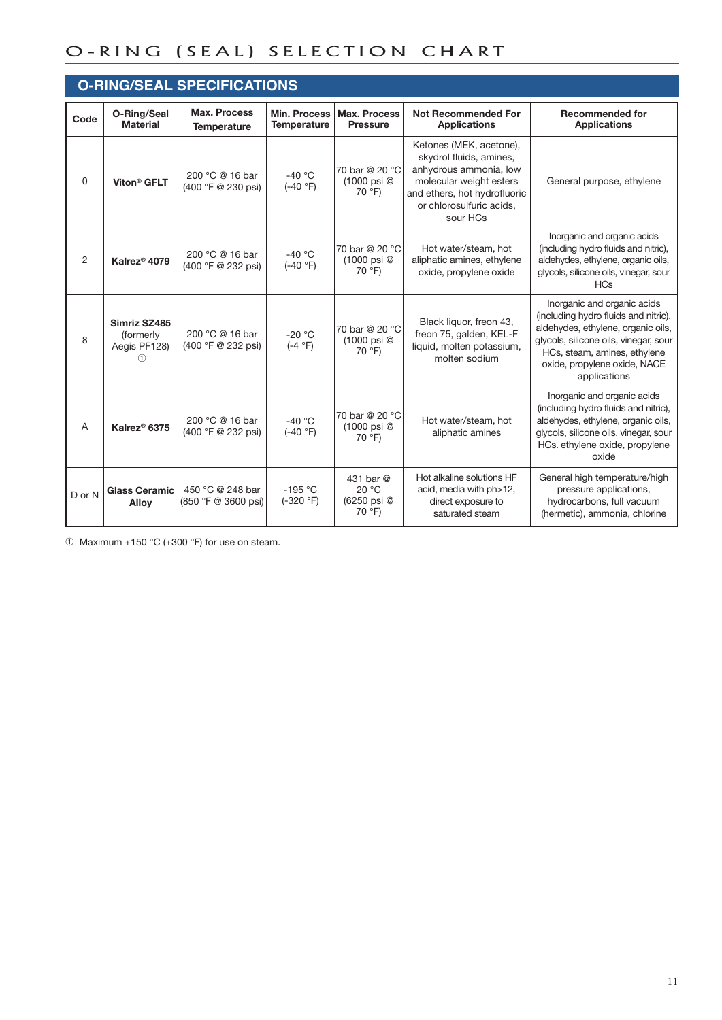### O-RING (SEAL) SELECTION CHART

|          | <b>O-RING/SEAL SPECIFICATIONS</b>              |                                         |                                           |                                             |                                                                                                                                                                                 |                                                                                                                                                                                                                                    |  |  |
|----------|------------------------------------------------|-----------------------------------------|-------------------------------------------|---------------------------------------------|---------------------------------------------------------------------------------------------------------------------------------------------------------------------------------|------------------------------------------------------------------------------------------------------------------------------------------------------------------------------------------------------------------------------------|--|--|
| Code     | O-Ring/Seal<br><b>Material</b>                 | Max. Process<br><b>Temperature</b>      | <b>Min. Process</b><br><b>Temperature</b> | <b>Max. Process</b><br><b>Pressure</b>      | <b>Not Recommended For</b><br><b>Applications</b>                                                                                                                               | <b>Recommended for</b><br><b>Applications</b>                                                                                                                                                                                      |  |  |
| $\Omega$ | Viton <sup>®</sup> GFLT                        | 200 °C @ 16 bar<br>(400 °F @ 230 psi)   | $-40 °C$<br>$(-40 °F)$                    | 70 bar @ 20 °C<br>(1000 psi @<br>70 °F)     | Ketones (MEK, acetone),<br>skydrol fluids, amines,<br>anhydrous ammonia, low<br>molecular weight esters<br>and ethers, hot hydrofluoric<br>or chlorosulfuric acids,<br>sour HCs | General purpose, ethylene                                                                                                                                                                                                          |  |  |
| 2        | Kalrez <sup>®</sup> 4079                       | 200 °C @ 16 bar<br>(400 °F @ 232 psi)   | $-40 °C$<br>$(-40 °F)$                    | 70 bar @ 20 °C<br>(1000 psi @<br>70 °F)     | Hot water/steam, hot<br>aliphatic amines, ethylene<br>oxide, propylene oxide                                                                                                    | Inorganic and organic acids<br>(including hydro fluids and nitric),<br>aldehydes, ethylene, organic oils,<br>glycols, silicone oils, vinegar, sour<br><b>HCs</b>                                                                   |  |  |
| 8        | Simriz SZ485<br>(formerly<br>Aegis PF128)<br>O | 200 °C @ 16 bar<br>(400 °F @ 232 psi)   | $-20 °C$<br>$(-4 °F)$                     | 70 bar @ 20 °C<br>(1000 psi @<br>70 °F)     | Black liquor, freon 43,<br>freon 75, galden, KEL-F<br>liquid, molten potassium,<br>molten sodium                                                                                | Inorganic and organic acids<br>(including hydro fluids and nitric),<br>aldehydes, ethylene, organic oils,<br>glycols, silicone oils, vinegar, sour<br>HCs, steam, amines, ethylene<br>oxide, propylene oxide, NACE<br>applications |  |  |
| A        | Kalrez® 6375                                   | 200 °C @ 16 bar<br>(400 °F @ 232 psi)   | $-40 °C$<br>$(-40 °F)$                    | 70 bar @ 20 °C<br>(1000 psi @<br>70 °F)     | Hot water/steam, hot<br>aliphatic amines                                                                                                                                        | Inorganic and organic acids<br>(including hydro fluids and nitric),<br>aldehydes, ethylene, organic oils,<br>glycols, silicone oils, vinegar, sour<br>HCs. ethylene oxide, propylene<br>oxide                                      |  |  |
| D or N   | <b>Glass Ceramic</b><br><b>Allov</b>           | 450 °C @ 248 bar<br>(850 °F @ 3600 psi) | $-195$ °C<br>$(-320 °F)$                  | 431 bar @<br>20 °C<br>(6250 psi @<br>70 °F) | Hot alkaline solutions HF<br>acid, media with ph>12,<br>direct exposure to<br>saturated steam                                                                                   | General high temperature/high<br>pressure applications,<br>hydrocarbons, full vacuum<br>(hermetic), ammonia, chlorine                                                                                                              |  |  |

 $\circledR$  Maximum +150 °C (+300 °F) for use on steam.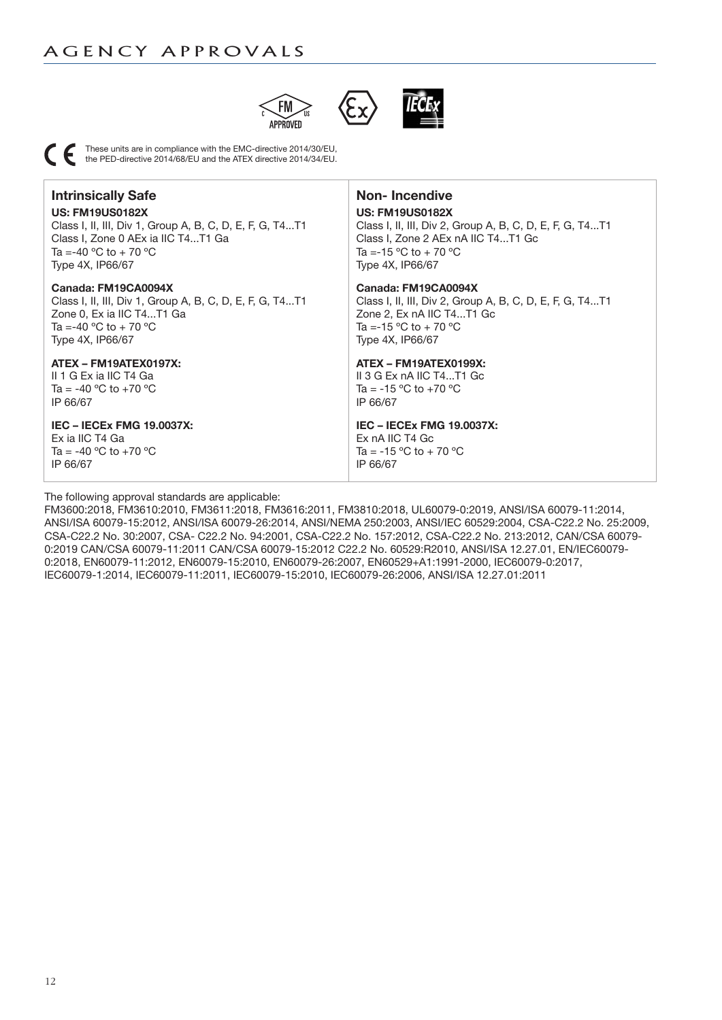



These units are in compliance with the EMC-directive 2014/30/EU, the PED-directive 2014/68/EU and the ATEX directive 2014/34/EU.

### **Intrinsically Safe US: FM19US0182X**

Class I, II, III, Div 1, Group A, B, C, D, E, F, G, T4...T1 Class I, Zone 0 AEx ia IIC T4...T1 Ga Ta =-40  $^{\circ}$ C to + 70  $^{\circ}$ C Type 4X, IP66/67

#### **Canada: FM19CA0094X**

Class I, II, III, Div 1, Group A, B, C, D, E, F, G, T4...T1 Zone 0, Ex ia IIC T4...T1 Ga Ta =-40  $^{\circ}$ C to + 70  $^{\circ}$ C Type 4X, IP66/67

#### **ATEX – FM19ATEX0197X:**

II 1 G Ex ia IIC T4 Ga Ta = -40  $^{\circ}$ C to +70  $^{\circ}$ C IP 66/67

#### **IEC – IECEx FMG 19.0037X:**

Ex ia IIC T4 Ga Ta = -40  $^{\circ}$ C to +70  $^{\circ}$ C IP 66/67

#### The following approval standards are applicable:

**Non- Incendive**

#### **US: FM19US0182X**

Class I, II, III, Div 2, Group A, B, C, D, E, F, G, T4...T1 Class I, Zone 2 AEx nA IIC T4...T1 Gc Ta = -15 °C to + 70 °C Type 4X, IP66/67

#### **Canada: FM19CA0094X**

Class I, II, III, Div 2, Group A, B, C, D, E, F, G, T4...T1 Zone 2, Ex nA IIC T4...T1 Gc Ta = -15 °C to + 70 °C Type 4X, IP66/67

#### **ATEX – FM19ATEX0199X:**

II 3 G Ex nA IIC T4...T1 Gc Ta =  $-15$  °C to  $+70$  °C IP 66/67

### **IEC – IECEx FMG 19.0037X:**

Ex nA IIC T4 Gc Ta =  $-15$  °C to + 70 °C IP 66/67

FM3600:2018, FM3610:2010, FM3611:2018, FM3616:2011, FM3810:2018, UL60079-0:2019, ANSI/ISA 60079-11:2014, ANSI/ISA 60079-15:2012, ANSI/ISA 60079-26:2014, ANSI/NEMA 250:2003, ANSI/IEC 60529:2004, CSA-C22.2 No. 25:2009, CSA-C22.2 No. 30:2007, CSA- C22.2 No. 94:2001, CSA-C22.2 No. 157:2012, CSA-C22.2 No. 213:2012, CAN/CSA 60079- 0:2019 CAN/CSA 60079-11:2011 CAN/CSA 60079-15:2012 C22.2 No. 60529:R2010, ANSI/ISA 12.27.01, EN/IEC60079- 0:2018, EN60079-11:2012, EN60079-15:2010, EN60079-26:2007, EN60529+A1:1991-2000, IEC60079-0:2017, IEC60079-1:2014, IEC60079-11:2011, IEC60079-15:2010, IEC60079-26:2006, ANSI/ISA 12.27.01:2011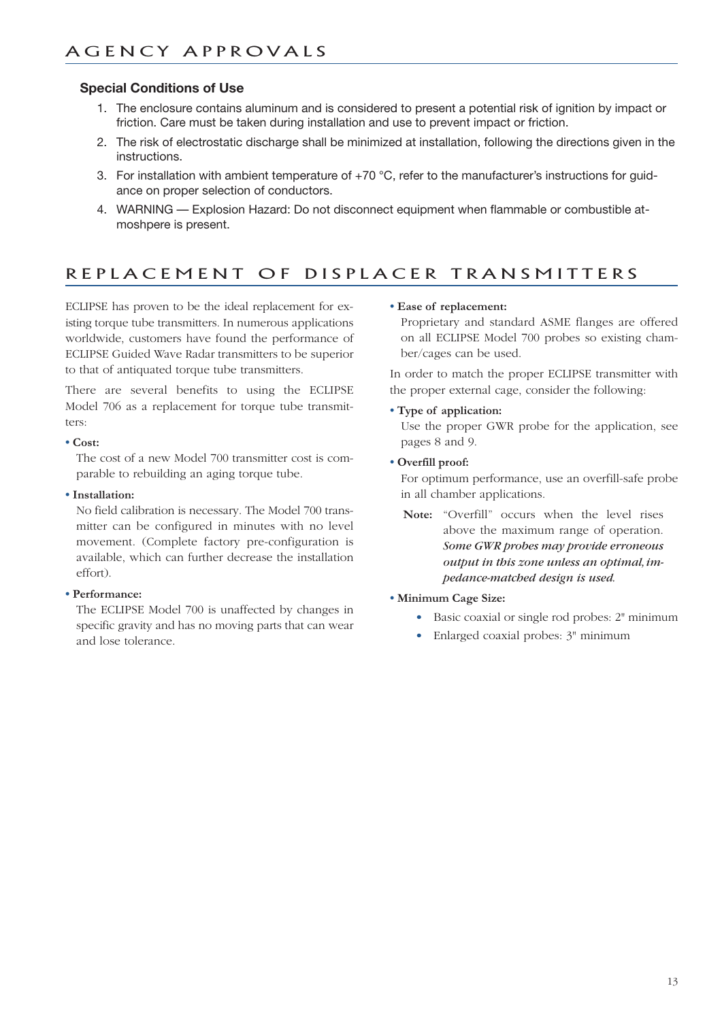#### **Special Conditions of Use**

- 1. The enclosure contains aluminum and is considered to present a potential risk of ignition by impact or friction. Care must be taken during installation and use to prevent impact or friction.
- 2. The risk of electrostatic discharge shall be minimized at installation, following the directions given in the instructions.
- 3. For installation with ambient temperature of  $+70$  °C, refer to the manufacturer's instructions for guidance on proper selection of conductors.
- 4. WARNING Explosion Hazard: Do not disconnect equipment when flammable or combustible atmoshpere is present.

### REPLACEMENT OF DISPLACER TRANSMITTERS

ECLIPSE has proven to be the ideal replacement for existing torque tube transmitters. In numerous applications worldwide, customers have found the performance of ECLIPSE Guided Wave Radar transmitters to be superior to that of antiquated torque tube transmitters.

There are several benefits to using the ECLIPSE Model 706 as a replacement for torque tube transmitters:

#### **• Cost:**

The cost of a new Model 700 transmitter cost is comparable to rebuilding an aging torque tube.

#### **• Installation:**

No field calibration is necessary. The Model 700 transmitter can be configured in minutes with no level movement. (Complete factory pre-configuration is available, which can further decrease the installation effort).

#### **• Performance:**

The ECLIPSE Model 700 is unaffected by changes in specific gravity and has no moving parts that can wear and lose tolerance.

#### **• Ease of replacement:**

Proprietary and standard ASME flanges are offered on all ECLIPSE Model 700 probes so existing chamber/cages can be used.

In order to match the proper ECLIPSE transmitter with the proper external cage, consider the following:

#### **• Type of application:**

Use the proper GWR probe for the application, see pages 8 and 9.

**• Overfill proof:**

For optimum performance, use an overfill-safe probe in all chamber applications.

- **Note:** "Overfill" occurs when the level rises above the maximum range of operation. *Some GWR probes may provide erroneous output in this zone unless an optimal, impedance-matched design is used.*
- **• Minimum Cage Size:**
	- Basic coaxial or single rod probes: 2" minimum
	- Enlarged coaxial probes:  $3$ " minimum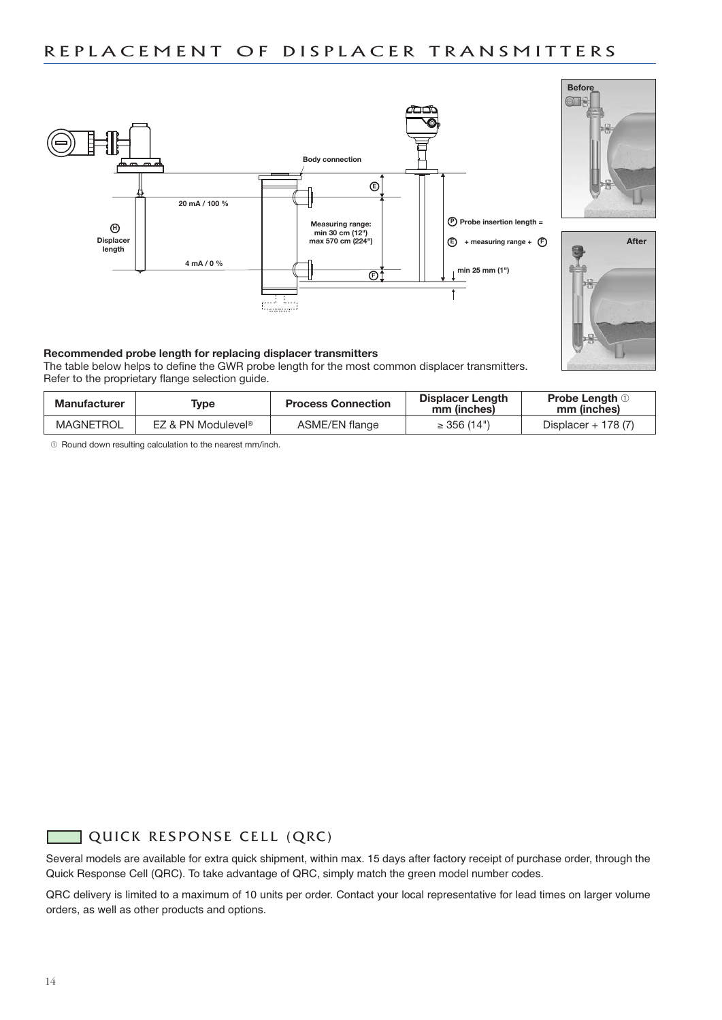### REPLACEMENT OF DISPLACER TRANSMITTERS







#### **Recommended probe length for replacing displacer transmitters**

The table below helps to define the GWR probe length for the most common displacer transmitters. Refer to the proprietary flange selection guide.

| <b>Manufacturer</b> | Type                           | <b>Process Connection</b> | Displacer Length<br>mm (inches) | <b>Probe Length</b> $\oplus$<br>mm (inches) |  |
|---------------------|--------------------------------|---------------------------|---------------------------------|---------------------------------------------|--|
| MAGNETROL           | EZ & PN Modulevel <sup>®</sup> | ASME/EN flange            | $\geq$ 356 (14")                | Displacer $+$ 178 (7)                       |  |

¿ Round down resulting calculation to the nearest mm/inch.

### QUICK RESPONSE CELL (QRC)

Several models are available for extra quick shipment, within max. 15 days after factory receipt of purchase order, through the Quick Response Cell (QRC). To take advantage of QRC, simply match the green model number codes.

QRC delivery is limited to a maximum of 10 units per order. Contact your local representative for lead times on larger volume orders, as well as other products and options.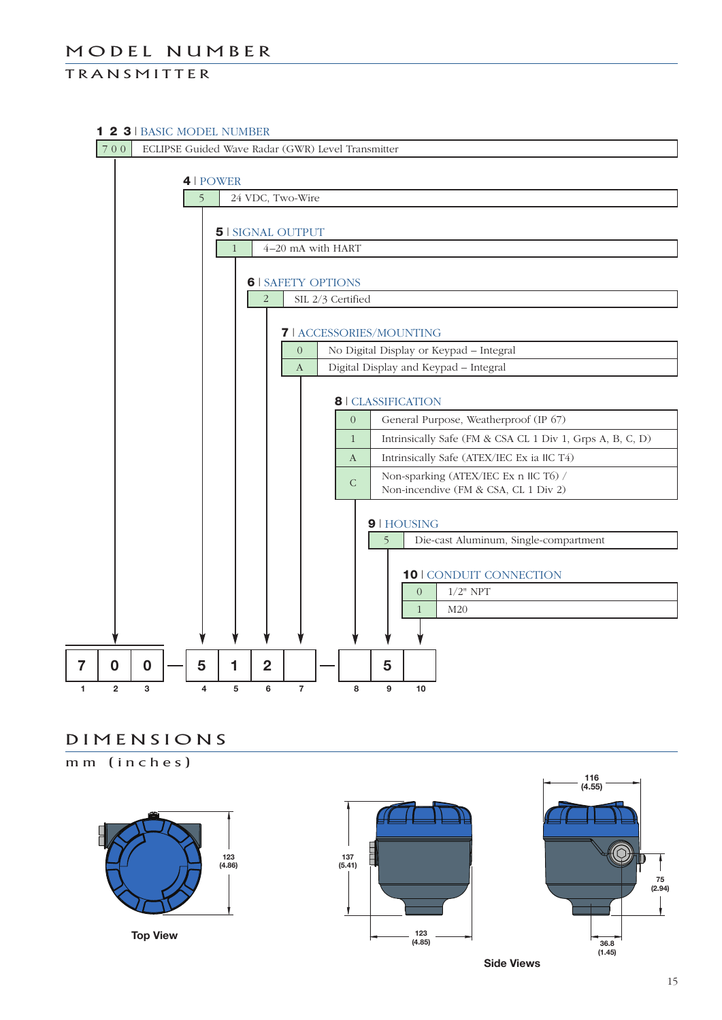### MODEL NUMBER

### **TRANSMITTER**

#### **1 2 3** | BASIC MODEL NUMBER

7 0 0 ECLIPSE Guided Wave Radar (GWR) Level Transmitter



### D I M E N S I O N S

mm (inches)



**Top View**





**Side Views**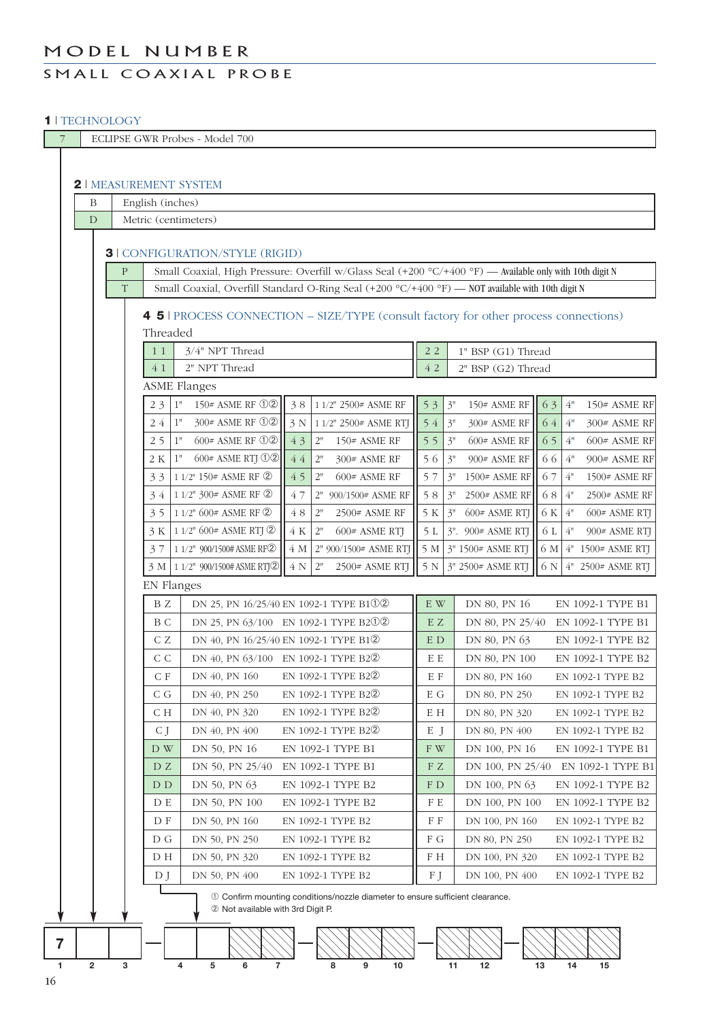### MODEL NUMBER

### SMALL COAXIAL PROBE

#### **1** | TECHNOLOGY

| 7  |                                                                                                                     |                                                                                      |                      | ECLIPSE GWR Probes - Model 700         |          |                                                                                                          |                           |                                          |                            |  |  |  |
|----|---------------------------------------------------------------------------------------------------------------------|--------------------------------------------------------------------------------------|----------------------|----------------------------------------|----------|----------------------------------------------------------------------------------------------------------|---------------------------|------------------------------------------|----------------------------|--|--|--|
|    |                                                                                                                     |                                                                                      |                      |                                        |          |                                                                                                          |                           |                                          |                            |  |  |  |
|    | <b>2   MEASUREMENT SYSTEM</b>                                                                                       |                                                                                      |                      |                                        |          |                                                                                                          |                           |                                          |                            |  |  |  |
|    |                                                                                                                     | English (inches)<br>$\mathbf B$                                                      |                      |                                        |          |                                                                                                          |                           |                                          |                            |  |  |  |
|    | D                                                                                                                   |                                                                                      | Metric (centimeters) |                                        |          |                                                                                                          |                           |                                          |                            |  |  |  |
|    |                                                                                                                     |                                                                                      |                      |                                        |          |                                                                                                          |                           |                                          |                            |  |  |  |
|    |                                                                                                                     | <b>3   CONFIGURATION/STYLE (RIGID)</b>                                               |                      |                                        |          |                                                                                                          |                           |                                          |                            |  |  |  |
|    |                                                                                                                     | $\mathbf{P}$                                                                         |                      |                                        |          | Small Coaxial, High Pressure: Overfill w/Glass Seal (+200 °C/+400 °F) — Available only with 10th digit N |                           |                                          |                            |  |  |  |
|    |                                                                                                                     | T                                                                                    |                      |                                        |          | Small Coaxial, Overfill Standard O-Ring Seal (+200 °C/+400 °F) - NOT available with 10th digit N         |                           |                                          |                            |  |  |  |
|    |                                                                                                                     |                                                                                      |                      |                                        |          |                                                                                                          |                           |                                          |                            |  |  |  |
|    |                                                                                                                     | 4 5   PROCESS CONNECTION – SIZE/TYPE (consult factory for other process connections) |                      |                                        |          |                                                                                                          |                           |                                          |                            |  |  |  |
|    |                                                                                                                     |                                                                                      | Threaded<br>11       | 3/4" NPT Thread                        |          |                                                                                                          | 22                        | 1" BSP (G1) Thread                       |                            |  |  |  |
|    |                                                                                                                     |                                                                                      | 4 1                  | 2" NPT Thread                          |          |                                                                                                          | 42                        | 2" BSP (G2) Thread                       |                            |  |  |  |
|    |                                                                                                                     |                                                                                      | <b>ASME Flanges</b>  |                                        |          |                                                                                                          |                           |                                          |                            |  |  |  |
|    |                                                                                                                     |                                                                                      | 1"<br>23             | 150# ASME RF ①2                        |          | 3 8 1 1/2" 2500# ASME RF                                                                                 | 53                        | 3"<br>$150#$ ASME RF                     | $4"$<br>63<br>150# ASME RF |  |  |  |
|    |                                                                                                                     |                                                                                      | 24 1"                | 300# ASME RF ①2                        | 3 N      | 1 1/2" 2500# ASME RTJ                                                                                    | 54                        | 3"<br>300# ASME RF                       | 64<br>$4"$<br>300# ASME RF |  |  |  |
|    |                                                                                                                     |                                                                                      | 25<br>1"             | 600# ASME RF ①2                        | 43       | $2"$<br>150# ASME RF                                                                                     | 55                        | 3"<br>600# ASME RF                       | $4"$<br>65<br>600# ASME RF |  |  |  |
|    |                                                                                                                     |                                                                                      | 1"<br>2 K            | $600#$ ASME RTJ $\odot$ 2              | 44       | 2"<br>300# ASME RF                                                                                       | 56                        | 3"<br>900# ASME RF                       | $4"$<br>66<br>900# ASME RF |  |  |  |
|    |                                                                                                                     |                                                                                      | 33                   | 1 1/2" 150# ASME RF 2                  | 45       | 2"<br>$600#$ ASME RF                                                                                     | 57                        | 3"<br>1500# ASME RF                      | 67<br>4"<br>1500# ASME RF  |  |  |  |
|    |                                                                                                                     |                                                                                      | 34                   | 1 1/2" 300# ASME RF 2                  | 47       | 900/1500# ASME RF<br>2"                                                                                  | 58                        | 3"<br>2500# ASME RF                      | 68<br>4"<br>2500# ASME RF  |  |  |  |
|    |                                                                                                                     |                                                                                      | 35                   | 1 1/2" 600# ASME RF 2                  | $4\ 8$   | 2"<br>2500# ASME RF                                                                                      | 5 K                       | 3"<br>600# ASME RTJ                      | 6 K $4"$<br>600# ASME RTJ  |  |  |  |
|    |                                                                                                                     |                                                                                      | 3 K                  | 1 1/2" 600# ASME RTJ 2                 | 4 K      | 2"<br>600# ASME RTJ                                                                                      | 5L                        | 3". 900# ASME RTJ                        | 4"<br>6 L<br>900# ASME RTJ |  |  |  |
|    |                                                                                                                     |                                                                                      | 37                   | 1 1/2" 900/1500# ASME RF2              | 4 M      | 2" 900/1500# ASME RTJ                                                                                    | 5 M                       | 3" 1500# ASME RTJ                        | 6 M 4" 1500# ASME RTJ      |  |  |  |
|    |                                                                                                                     |                                                                                      |                      | 3 M   1 1/2" 900/1500# ASME RTJ2       | $4 N$ 2" | 2500# ASME RTJ                                                                                           |                           | 5 N 3" 2500# ASME RTJ                    | $6 N 4'' 2500#$ ASME RTJ   |  |  |  |
|    |                                                                                                                     |                                                                                      | <b>EN Flanges</b>    |                                        |          |                                                                                                          |                           |                                          |                            |  |  |  |
|    |                                                                                                                     |                                                                                      | BZ                   | DN 25, PN 16/25/40 EN 1092-1 TYPE B102 |          |                                                                                                          | $\mathbf{E} \ \mathbf{W}$ | DN 80, PN 16                             | EN 1092-1 TYPE B1          |  |  |  |
|    |                                                                                                                     |                                                                                      | B C                  | DN 25, PN 63/100 EN 1092-1 TYPE B2①2   |          |                                                                                                          | E Z                       | DN 80, PN 25/40                          | EN 1092-1 TYPE B1          |  |  |  |
|    |                                                                                                                     |                                                                                      | C Z                  | DN 40, PN 16/25/40 EN 1092-1 TYPE B12  |          |                                                                                                          |                           | E D<br>DN 80, PN 63<br>EN 1092-1 TYPE B2 |                            |  |  |  |
|    |                                                                                                                     |                                                                                      | C C                  | DN 40, PN 63/100 EN 1092-1 TYPE B22    |          |                                                                                                          | E E                       | DN 80, PN 100                            | EN 1092-1 TYPE B2          |  |  |  |
|    |                                                                                                                     |                                                                                      | $C$ F                | DN 40, PN 160                          |          | EN 1092-1 TYPE B22                                                                                       | $\to$ $\cal F$            | DN 80, PN 160                            | EN 1092-1 TYPE B2          |  |  |  |
|    |                                                                                                                     |                                                                                      | C G                  | DN 40, PN 250                          |          | EN 1092-1 TYPE B22                                                                                       | E G                       | DN 80, PN 250                            | EN 1092-1 TYPE B2          |  |  |  |
|    |                                                                                                                     |                                                                                      | С Н                  | DN 40, PN 320                          |          | EN 1092-1 TYPE B22                                                                                       | E H                       | DN 80, PN 320                            | EN 1092-1 TYPE B2          |  |  |  |
|    |                                                                                                                     |                                                                                      | C J                  | DN 40, PN 400                          |          | EN 1092-1 TYPE B22                                                                                       | E J                       | DN 80, PN 400                            | EN 1092-1 TYPE B2          |  |  |  |
|    |                                                                                                                     |                                                                                      | D W                  | DN 50, PN 16                           |          | EN 1092-1 TYPE B1                                                                                        | F W                       | DN 100, PN 16                            | EN 1092-1 TYPE B1          |  |  |  |
|    |                                                                                                                     |                                                                                      | D Z                  | DN 50, PN 25/40                        |          | EN 1092-1 TYPE B1                                                                                        | FZ                        | DN 100, PN 25/40                         | EN 1092-1 TYPE B1          |  |  |  |
|    |                                                                                                                     |                                                                                      | D D                  | DN 50, PN 63                           |          | EN 1092-1 TYPE B2                                                                                        | F D                       | DN 100, PN 63                            | EN 1092-1 TYPE B2          |  |  |  |
|    |                                                                                                                     |                                                                                      | D E                  | DN 50, PN 100                          |          | EN 1092-1 TYPE B2                                                                                        | F E                       | DN 100, PN 100                           | EN 1092-1 TYPE B2          |  |  |  |
|    |                                                                                                                     |                                                                                      | D F                  | DN 50, PN 160                          |          | EN 1092-1 TYPE B2                                                                                        | F F                       | DN 100, PN 160                           | EN 1092-1 TYPE B2          |  |  |  |
|    |                                                                                                                     |                                                                                      | D G                  | DN 50, PN 250                          |          | EN 1092-1 TYPE B2                                                                                        | F G                       | DN 80, PN 250                            | EN 1092-1 TYPE B2          |  |  |  |
|    | D H<br>DN 50, PN 320<br>EN 1092-1 TYPE B2<br>F H                                                                    |                                                                                      |                      |                                        |          |                                                                                                          |                           | DN 100, PN 320                           | EN 1092-1 TYPE B2          |  |  |  |
|    | D J<br>DN 50, PN 400<br>F J<br>DN 100, PN 400<br>EN 1092-1 TYPE B2<br>EN 1092-1 TYPE B2                             |                                                                                      |                      |                                        |          |                                                                                                          |                           |                                          |                            |  |  |  |
|    | 10 Confirm mounting conditions/nozzle diameter to ensure sufficient clearance.<br>2 Not available with 3rd Digit P. |                                                                                      |                      |                                        |          |                                                                                                          |                           |                                          |                            |  |  |  |
|    |                                                                                                                     |                                                                                      |                      |                                        |          |                                                                                                          |                           |                                          |                            |  |  |  |
| 7  |                                                                                                                     |                                                                                      |                      |                                        |          |                                                                                                          |                           |                                          |                            |  |  |  |
| 1  | $\mathbf 2$                                                                                                         | 3                                                                                    | 4                    | 5<br>6                                 |          | 8<br>9<br>10                                                                                             |                           | 12<br>11                                 | 13<br>14<br>15             |  |  |  |
| 16 |                                                                                                                     |                                                                                      |                      |                                        |          |                                                                                                          |                           |                                          |                            |  |  |  |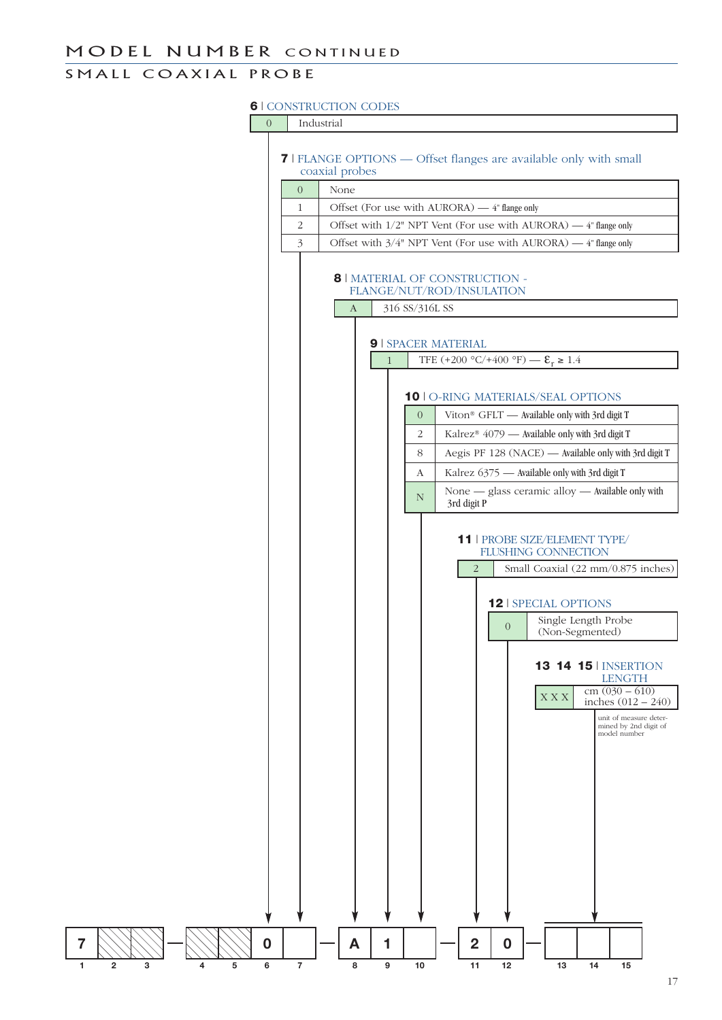### SMALL COAXIAL PROBE

#### **6** | CONSTRUCTION CODES

0 Industrial

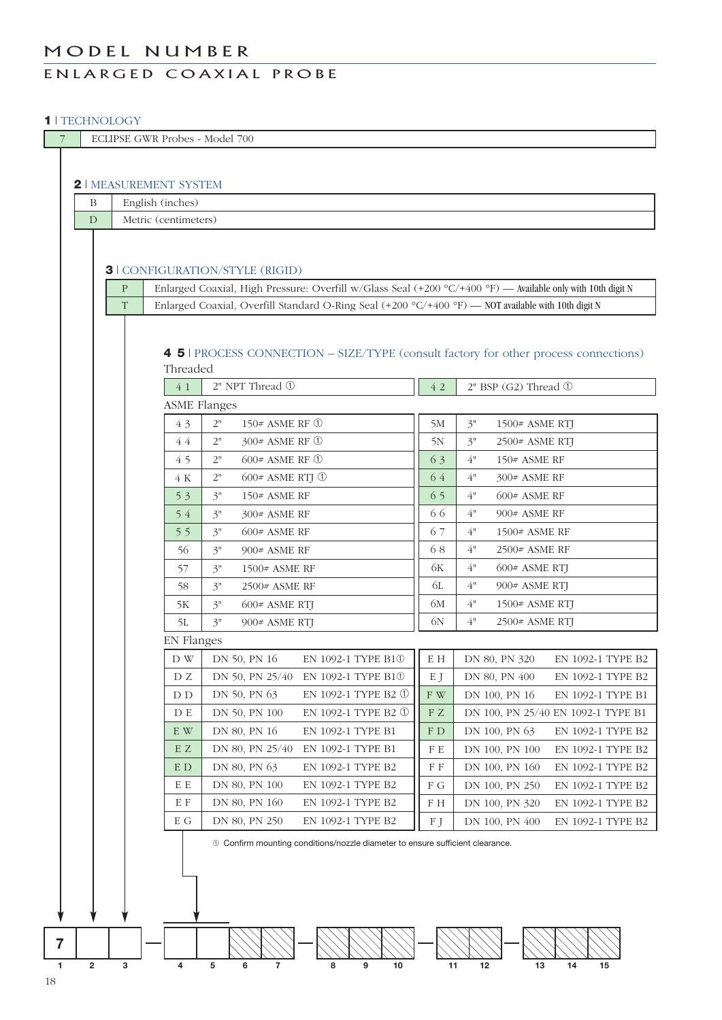### MODEL NUMBER

### ENLARGED COAXIAL PROBE

#### **1** | TECHNOLOGY

| $\overline{7}$ | ECLIPSE GWR Probes - Model 700 |                  |                           |                                                                                                             |            |                                                                            |  |  |  |  |  |  |
|----------------|--------------------------------|------------------|---------------------------|-------------------------------------------------------------------------------------------------------------|------------|----------------------------------------------------------------------------|--|--|--|--|--|--|
|                |                                |                  |                           |                                                                                                             |            |                                                                            |  |  |  |  |  |  |
|                | <b>2   MEASUREMENT SYSTEM</b>  |                  |                           |                                                                                                             |            |                                                                            |  |  |  |  |  |  |
|                | Β                              | English (inches) |                           |                                                                                                             |            |                                                                            |  |  |  |  |  |  |
|                | D                              |                  | Metric (centimeters)      |                                                                                                             |            |                                                                            |  |  |  |  |  |  |
|                |                                |                  |                           |                                                                                                             |            |                                                                            |  |  |  |  |  |  |
|                |                                |                  |                           | <b>3   CONFIGURATION/STYLE (RIGID)</b>                                                                      |            |                                                                            |  |  |  |  |  |  |
|                |                                | $\mathbf{P}$     |                           | Enlarged Coaxial, High Pressure: Overfill w/Glass Seal (+200 °C/+400 °F) — Available only with 10th digit N |            |                                                                            |  |  |  |  |  |  |
|                |                                | T                |                           | Enlarged Coaxial, Overfill Standard O-Ring Seal (+200 °C/+400 °F) - NOT available with 10th digit N         |            |                                                                            |  |  |  |  |  |  |
|                |                                |                  |                           |                                                                                                             |            |                                                                            |  |  |  |  |  |  |
|                |                                |                  |                           |                                                                                                             |            |                                                                            |  |  |  |  |  |  |
|                |                                |                  |                           | 4 5   PROCESS CONNECTION – SIZE/TYPE (consult factory for other process connections)                        |            |                                                                            |  |  |  |  |  |  |
|                |                                |                  | Threaded<br>41            | 2" NPT Thread 1                                                                                             | 42         | 2" BSP (G2) Thread ①                                                       |  |  |  |  |  |  |
|                |                                |                  |                           |                                                                                                             |            |                                                                            |  |  |  |  |  |  |
|                |                                |                  | <b>ASME Flanges</b><br>43 | 2"<br>150# ASME RF ①                                                                                        | 5M         | 3"<br>1500# ASME RTJ                                                       |  |  |  |  |  |  |
|                |                                |                  | 44                        | 2"<br>300# ASME RF ①                                                                                        | 5N         | 3"<br>2500# ASME RTJ                                                       |  |  |  |  |  |  |
|                |                                |                  | 45                        | 600# ASME RF ①<br>2"                                                                                        | 63         | 4"<br>150# ASME RF                                                         |  |  |  |  |  |  |
|                |                                |                  | 4 K                       | $600$ # ASME RTJ $\circled{0}$<br>2"                                                                        | 64         | 4"<br>300# ASME RF                                                         |  |  |  |  |  |  |
|                |                                |                  | 53                        | 150# ASME RF<br>3"                                                                                          | 65         | 4"<br>$600#$ ASME RF                                                       |  |  |  |  |  |  |
|                |                                |                  | 54                        | 3"<br>300# ASME RF                                                                                          | 66         | 4"<br>900# ASME RF                                                         |  |  |  |  |  |  |
|                |                                |                  | 55                        | 3"<br>$600#$ ASME RF                                                                                        | 67         | 4"<br>1500# ASME RF                                                        |  |  |  |  |  |  |
|                |                                |                  | 56                        | 3"<br>900# ASME RF                                                                                          | 68         | 4"<br>2500# ASME RF                                                        |  |  |  |  |  |  |
|                |                                |                  | 57                        | 3"<br>1500# ASME RF                                                                                         | 6K         | 4"<br>600# ASME RTJ                                                        |  |  |  |  |  |  |
|                |                                |                  | 58                        | 3"<br>2500# ASME RF                                                                                         | 6L         | 4"<br>900# ASME RTJ                                                        |  |  |  |  |  |  |
|                |                                |                  | 5K                        | 3"<br>600# ASME RTJ                                                                                         | 6M         | 4"<br>1500# ASME RTJ                                                       |  |  |  |  |  |  |
|                |                                |                  | 5L                        | 3"<br>900# ASME RTJ                                                                                         | 6N         | 4"<br>2500# ASME RTJ                                                       |  |  |  |  |  |  |
|                |                                |                  | <b>EN</b> Flanges         |                                                                                                             |            |                                                                            |  |  |  |  |  |  |
|                |                                |                  | D W                       | DN 50, PN 16<br>EN 1092-1 TYPE B10                                                                          | E H        | DN 80, PN 320<br>EN 1092-1 TYPE B2                                         |  |  |  |  |  |  |
|                |                                |                  | D Z                       | DN 50, PN 25/40<br>EN 1092-1 TYPE B10                                                                       | E J        | DN 80, PN 400<br>EN 1092-1 TYPE B2                                         |  |  |  |  |  |  |
|                |                                |                  | D D                       | DN 50, PN 63<br>EN 1092-1 TYPE B2 ①                                                                         | F W        | DN 100, PN 16<br>EN 1092-1 TYPE B1                                         |  |  |  |  |  |  |
|                |                                |                  | D E                       | DN 50, PN 100<br>EN 1092-1 TYPE B2 ①                                                                        | F Z        | DN 100, PN 25/40 EN 1092-1 TYPE B1                                         |  |  |  |  |  |  |
|                |                                |                  | E W                       | DN 80, PN 16<br>EN 1092-1 TYPE B1                                                                           | F D        | DN 100, PN 63<br>EN 1092-1 TYPE B2                                         |  |  |  |  |  |  |
|                |                                |                  | E Z                       | DN 80, PN 25/40<br>EN 1092-1 TYPE B1                                                                        | FE         | DN 100, PN 100<br>EN 1092-1 TYPE B2                                        |  |  |  |  |  |  |
|                |                                |                  | E D                       | DN 80, PN 63<br>EN 1092-1 TYPE B2                                                                           | F F        | DN 100, PN 160<br>EN 1092-1 TYPE B2                                        |  |  |  |  |  |  |
|                |                                |                  | E E<br>E F                | DN 80, PN 100<br>EN 1092-1 TYPE B2<br>DN 80, PN 160<br>EN 1092-1 TYPE B2                                    | F G<br>F H | DN 100, PN 250<br>EN 1092-1 TYPE B2                                        |  |  |  |  |  |  |
|                |                                |                  | E G                       | DN 80, PN 250<br>EN 1092-1 TYPE B2                                                                          | FJ         | DN 100, PN 320<br>EN 1092-1 TYPE B2<br>DN 100, PN 400<br>EN 1092-1 TYPE B2 |  |  |  |  |  |  |
|                |                                |                  |                           |                                                                                                             |            |                                                                            |  |  |  |  |  |  |
|                |                                |                  |                           | 10 Confirm mounting conditions/nozzle diameter to ensure sufficient clearance.                              |            |                                                                            |  |  |  |  |  |  |
|                |                                |                  |                           |                                                                                                             |            |                                                                            |  |  |  |  |  |  |
|                |                                |                  |                           |                                                                                                             |            |                                                                            |  |  |  |  |  |  |
|                |                                |                  |                           |                                                                                                             |            |                                                                            |  |  |  |  |  |  |
|                |                                |                  |                           |                                                                                                             |            |                                                                            |  |  |  |  |  |  |
| $\overline{7}$ |                                |                  |                           |                                                                                                             |            |                                                                            |  |  |  |  |  |  |
| 1              | $\overline{2}$                 | 3                | 4                         | ${\bf 5}$<br>6<br>8<br>9<br>10<br>7                                                                         | 11         | 13<br>14<br>12<br>15                                                       |  |  |  |  |  |  |
| 18             |                                |                  |                           |                                                                                                             |            |                                                                            |  |  |  |  |  |  |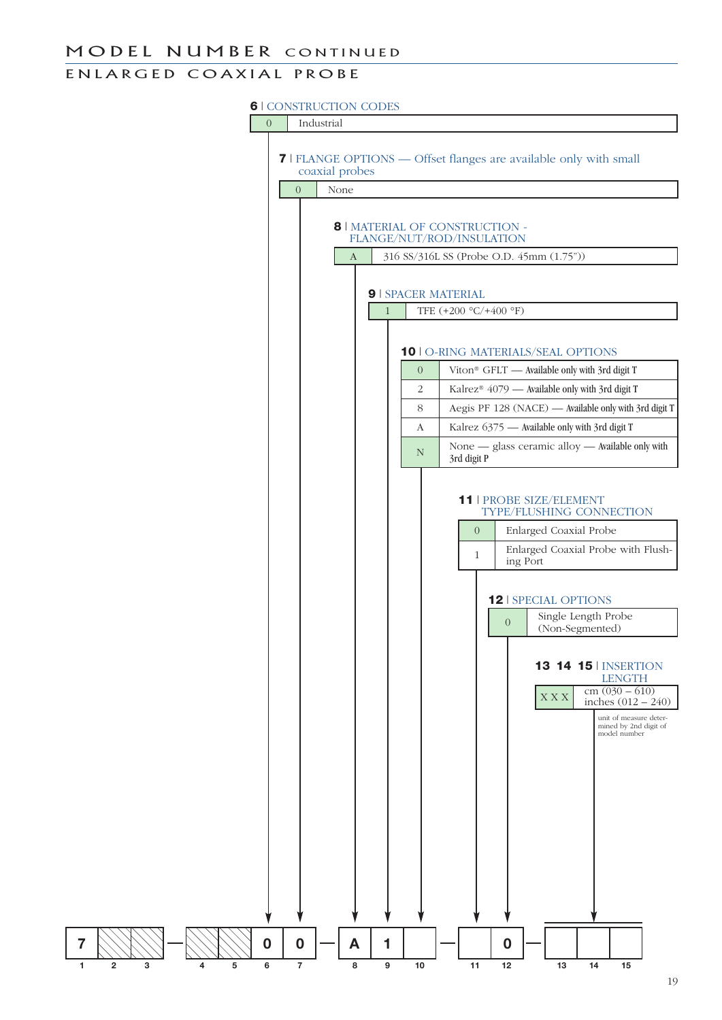### MODEL NUMBER CONTINUED

### EN LARGED COAXIAL PROBE

#### **6** | CONSTRUCTION CODES



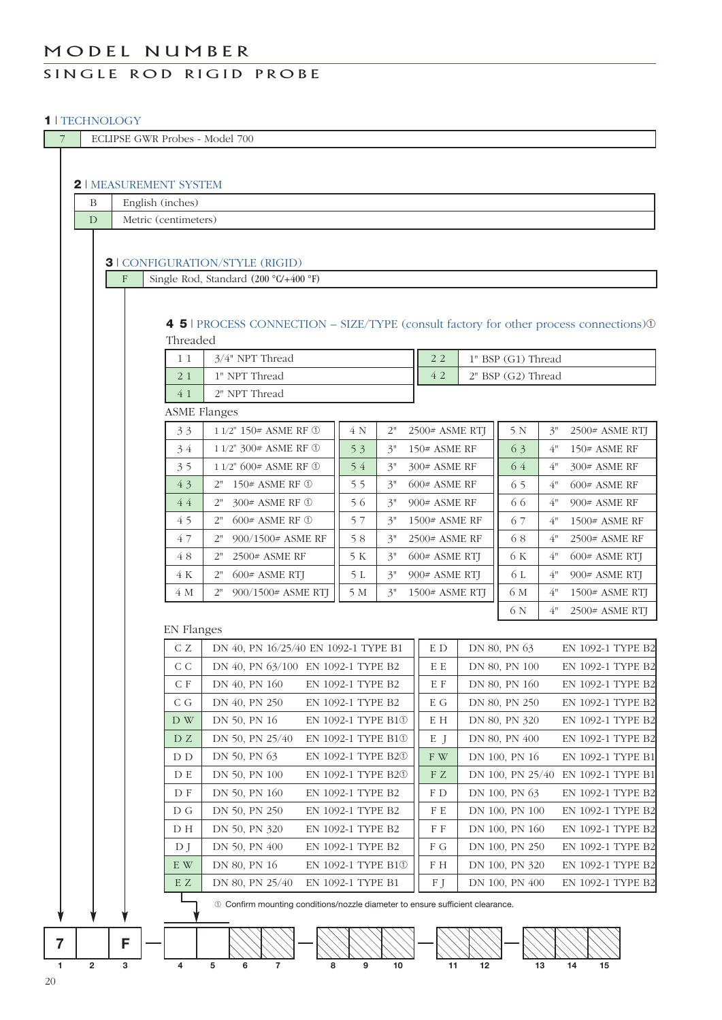### MODEL NUMBER

### SINGLE ROD RIGID PROBE

#### **1** | TECHNOLOGY

| $\overline{7}$ |                | ECLIPSE GWR Probes - Model 700 |                                                                                         |                                        |          |                                  |    |                                 |                                        |  |
|----------------|----------------|--------------------------------|-----------------------------------------------------------------------------------------|----------------------------------------|----------|----------------------------------|----|---------------------------------|----------------------------------------|--|
|                |                | <b>2   MEASUREMENT SYSTEM</b>  |                                                                                         |                                        |          |                                  |    |                                 |                                        |  |
|                | B              | English (inches)               |                                                                                         |                                        |          |                                  |    |                                 |                                        |  |
|                | D              | Metric (centimeters)           |                                                                                         |                                        |          |                                  |    |                                 |                                        |  |
|                |                |                                |                                                                                         |                                        |          |                                  |    |                                 |                                        |  |
|                |                |                                | <b>3   CONFIGURATION/STYLE (RIGID)</b>                                                  |                                        |          |                                  |    |                                 |                                        |  |
|                |                | F                              | Single Rod, Standard (200 °C/+400 °F)                                                   |                                        |          |                                  |    |                                 |                                        |  |
|                |                |                                |                                                                                         |                                        |          |                                  |    |                                 |                                        |  |
|                |                |                                |                                                                                         |                                        |          |                                  |    |                                 |                                        |  |
|                |                | Threaded                       | 4 5   PROCESS CONNECTION – SIZE/TYPE (consult factory for other process connections) 10 |                                        |          |                                  |    |                                 |                                        |  |
|                |                | 11                             | 3/4" NPT Thread                                                                         |                                        |          | 2 2                              |    | 1" BSP (G1) Thread              |                                        |  |
|                |                | 21                             | 1" NPT Thread                                                                           |                                        |          | 42                               |    | 2" BSP (G2) Thread              |                                        |  |
|                |                | 41                             | 2" NPT Thread                                                                           |                                        |          |                                  |    |                                 |                                        |  |
|                |                |                                | <b>ASME Flanges</b>                                                                     |                                        |          |                                  |    |                                 |                                        |  |
|                |                | 33                             | 1 1/2" 150# ASME RF ①                                                                   | 4 N                                    | 2"       | 2500# ASME RTJ                   |    | 5 N                             | 3"<br>$2500#$ ASME RTJ                 |  |
|                |                | 34                             | 1 1/2" 300# ASME RF ①                                                                   | 53                                     | 3"       | 150# ASME RF                     |    | 63                              | 4"<br>150# ASME RF                     |  |
|                |                | 35                             | $1\ 1/2"$ 600# ASME RF $\textcircled{\tiny 1}$                                          | 54                                     | 3"       | 300# ASME RF                     |    | 64                              | 4"<br>300# ASME RF                     |  |
|                |                | 43                             | $2"$ – $150\#$ ASME RF $\textcircled{\tiny 1}$                                          | 55                                     | 3"       | $600#$ ASME RF                   |    | 65                              | 4"<br>$600#$ ASME RF                   |  |
|                |                | 44                             | 300# ASME RF ①<br>2"                                                                    | 56                                     | 3"       | 900# ASME RF                     |    | 66                              | 4"<br>900# ASME RF                     |  |
|                |                | 45                             | $600#$ ASME RF $\circledcirc$<br>2"                                                     | 57                                     | 3"       | 1500# ASME RF                    |    | 67                              | 4"<br>1500# ASME RF                    |  |
|                |                | 47<br>48                       | 900/1500# ASME RF<br>2"<br>2500# ASME RF                                                | 58<br>5 K                              | 3"       | 2500# ASME RF                    |    | 68<br>6 K                       | 4"<br>2500# ASME RF<br>4"              |  |
|                |                | 4 K                            | 2"<br>600# ASME RTJ<br>2"                                                               | 5L                                     | 3"<br>3" | $600#$ ASME RTJ<br>900# ASME RTJ |    | 6 L                             | $600#$ ASME RTJ<br>4"<br>900# ASME RTJ |  |
|                |                | 4 M                            | 900/1500# ASME RTJ<br>2"                                                                | 5 M                                    | 3"       | 1500# ASME RTJ                   |    | 6 M                             | 4"<br>1500# ASME RTJ                   |  |
|                |                |                                |                                                                                         |                                        |          |                                  |    | 6 N                             | 4"<br>2500# ASME RTJ                   |  |
|                |                | <b>EN Flanges</b>              |                                                                                         |                                        |          |                                  |    |                                 |                                        |  |
|                |                | CZ                             | DN 40, PN 16/25/40 EN 1092-1 TYPE B1                                                    |                                        |          | E D                              |    | DN 80, PN 63                    | EN 1092-1 TYPE B2                      |  |
|                |                | C C                            | DN 40, PN 63/100 EN 1092-1 TYPE B2                                                      |                                        |          | E E                              |    | DN 80, PN 100                   | EN 1092-1 TYPE B2                      |  |
|                |                | C F                            | DN 40, PN 160                                                                           | EN 1092-1 TYPE B2                      |          | E F                              |    | DN 80, PN 160                   | EN 1092-1 TYPE B2                      |  |
|                |                | C G                            | DN 40, PN 250                                                                           | EN 1092-1 TYPE B2                      |          | E G                              |    | DN 80, PN 250                   | EN 1092-1 TYPE B2                      |  |
|                |                | D W                            | DN 50, PN 16                                                                            | EN 1092-1 TYPE B1 <sup>0</sup>         |          | E H                              |    | DN 80, PN 320                   | EN 1092-1 TYPE B2                      |  |
|                |                | DZ                             | DN 50, PN 25/40                                                                         | EN 1092-1 TYPE B10                     |          | E J                              |    | DN 80, PN 400                   | EN 1092-1 TYPE B2                      |  |
|                |                | D D                            | DN 50, PN 63                                                                            | EN 1092-1 TYPE B2 <sup>0</sup>         |          | F W                              |    | DN 100, PN 16                   | EN 1092-1 TYPE B1                      |  |
|                |                | D E                            | DN 50, PN 100                                                                           | EN 1092-1 TYPE B2 <sup>0</sup>         |          | F Z                              |    | DN 100, PN 25/40                | EN 1092-1 TYPE B1                      |  |
|                |                | D F<br>D G                     | DN 50, PN 160<br>DN 50, PN 250                                                          | EN 1092-1 TYPE B2<br>EN 1092-1 TYPE B2 |          | F D<br>F E                       |    | DN 100, PN 63<br>DN 100, PN 100 | EN 1092-1 TYPE B2<br>EN 1092-1 TYPE B2 |  |
|                |                | D H                            | DN 50, PN 320                                                                           | EN 1092-1 TYPE B2                      |          | F F                              |    | DN 100, PN 160                  | EN 1092-1 TYPE B2                      |  |
|                |                | D <sub>J</sub>                 | DN 50, PN 400                                                                           | EN 1092-1 TYPE B2                      |          | ${\mathcal F}$ G                 |    | DN 100, PN 250                  | EN 1092-1 TYPE B2                      |  |
|                |                | E W                            | DN 80, PN 16                                                                            | EN 1092-1 TYPE B10                     |          | F H                              |    | DN 100, PN 320                  | EN 1092-1 TYPE B2                      |  |
|                |                | E Z                            | DN 80, PN 25/40                                                                         | EN 1092-1 TYPE B1                      |          | F J                              |    | DN 100, PN 400                  | EN 1092-1 TYPE B2                      |  |
|                |                |                                | 10 Confirm mounting conditions/nozzle diameter to ensure sufficient clearance.          |                                        |          |                                  |    |                                 |                                        |  |
|                |                |                                |                                                                                         |                                        |          |                                  |    |                                 |                                        |  |
| 7              |                | F                              |                                                                                         |                                        |          |                                  |    |                                 |                                        |  |
| $\mathbf{1}$   | $\overline{2}$ | 3<br>4                         | 5<br>6<br>8<br>$\overline{\phantom{a}}$                                                 | 9                                      | 10       | 11                               | 12 |                                 | 13<br>14<br>15                         |  |
| 20             |                |                                |                                                                                         |                                        |          |                                  |    |                                 |                                        |  |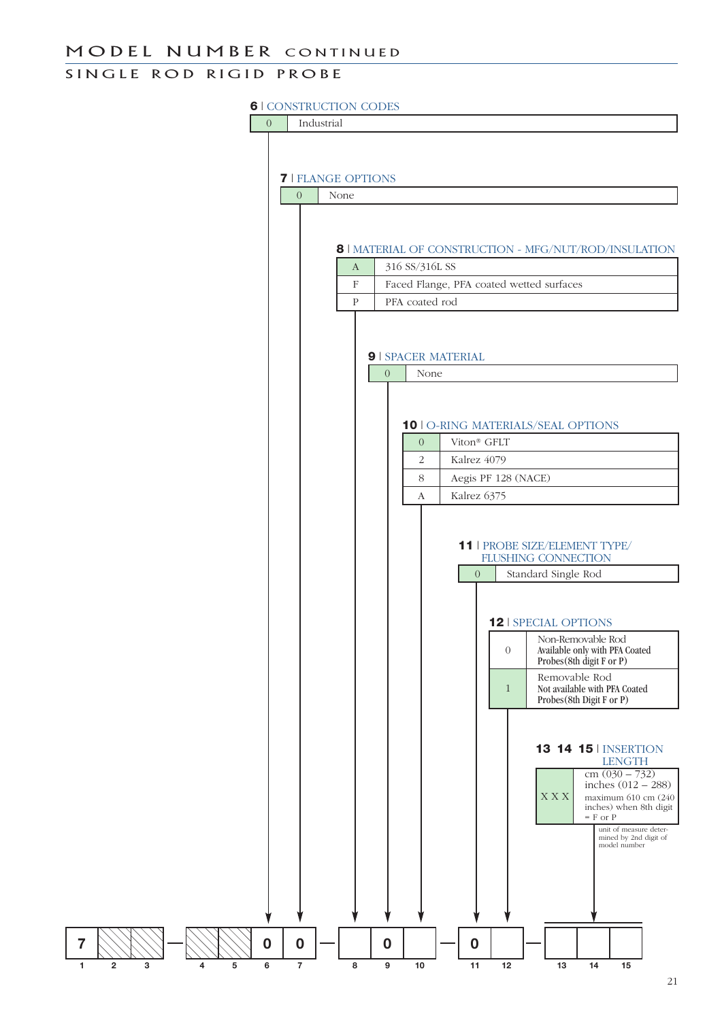#### MODEL NUMBER CONTINUED

### SINGLE ROD RIGID PROBE

#### **6** | CONSTRUCTION CODES

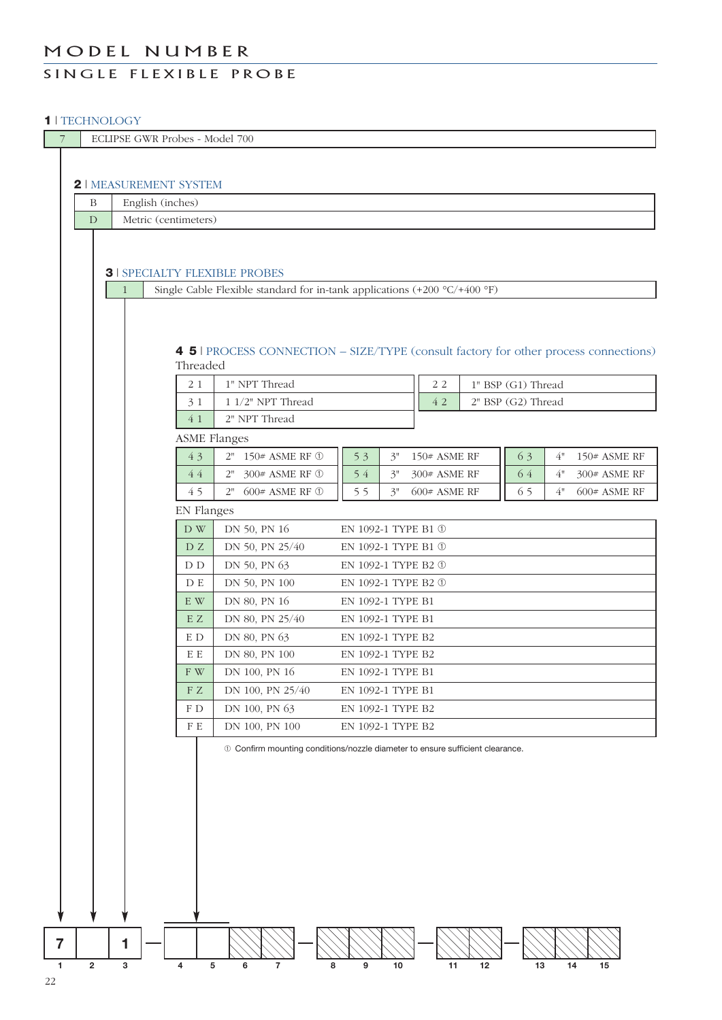### MODEL NUMBER

### SINGLE FLEXIBLE PROBE

#### **1** | TECHNOLOGY

| $\overline{7}$ |                         |                                                                                               |   |                               |                                            | ECLIPSE GWR Probes - Model 700                                                       |                     |                   |  |                |    |                    |                    |    |                |  |
|----------------|-------------------------|-----------------------------------------------------------------------------------------------|---|-------------------------------|--------------------------------------------|--------------------------------------------------------------------------------------|---------------------|-------------------|--|----------------|----|--------------------|--------------------|----|----------------|--|
|                |                         |                                                                                               |   |                               |                                            |                                                                                      |                     |                   |  |                |    |                    |                    |    |                |  |
|                |                         |                                                                                               |   | <b>2   MEASUREMENT SYSTEM</b> |                                            |                                                                                      |                     |                   |  |                |    |                    |                    |    |                |  |
|                | $\, {\bf B}$            |                                                                                               |   | English (inches)              |                                            |                                                                                      |                     |                   |  |                |    |                    |                    |    |                |  |
|                | D                       | Metric (centimeters)                                                                          |   |                               |                                            |                                                                                      |                     |                   |  |                |    |                    |                    |    |                |  |
|                |                         |                                                                                               |   |                               |                                            |                                                                                      |                     |                   |  |                |    |                    |                    |    |                |  |
|                |                         |                                                                                               |   |                               |                                            |                                                                                      |                     |                   |  |                |    |                    |                    |    |                |  |
|                |                         |                                                                                               |   |                               |                                            | <b>3   SPECIALTY FLEXIBLE PROBES</b>                                                 |                     |                   |  |                |    |                    |                    |    |                |  |
|                |                         | 1                                                                                             |   |                               |                                            | Single Cable Flexible standard for in-tank applications $(+200 °C/+400 °F)$          |                     |                   |  |                |    |                    |                    |    |                |  |
|                |                         |                                                                                               |   |                               |                                            |                                                                                      |                     |                   |  |                |    |                    |                    |    |                |  |
|                |                         |                                                                                               |   |                               |                                            |                                                                                      |                     |                   |  |                |    |                    |                    |    |                |  |
|                |                         |                                                                                               |   |                               |                                            | 4 5   PROCESS CONNECTION - SIZE/TYPE (consult factory for other process connections) |                     |                   |  |                |    |                    |                    |    |                |  |
|                |                         |                                                                                               |   |                               | Threaded                                   |                                                                                      |                     |                   |  |                |    |                    |                    |    |                |  |
|                |                         | 1" NPT Thread<br>21                                                                           |   |                               |                                            |                                                                                      |                     | $2\,2$            |  |                |    |                    | 1" BSP (G1) Thread |    |                |  |
|                |                         | 1 1/2" NPT Thread<br>31                                                                       |   |                               |                                            |                                                                                      |                     |                   |  | 4 2            |    | 2" BSP (G2) Thread |                    |    |                |  |
|                |                         |                                                                                               |   |                               | 4 1                                        | 2" NPT Thread                                                                        |                     |                   |  |                |    |                    |                    |    |                |  |
|                |                         |                                                                                               |   |                               | 43                                         | <b>ASME Flanges</b><br>$2"$ 150# ASME RF $\circled$                                  | 53                  | 3"                |  | 150# ASME RF   |    | 63                 | 4"                 |    | 150# ASME RF   |  |
|                |                         |                                                                                               |   |                               | 44                                         | 2" 300# ASME RF ①                                                                    | 54                  | $3"$              |  | 300# ASME RF   |    | 64                 | 4"                 |    | 300# ASME RF   |  |
|                |                         |                                                                                               |   |                               | 45                                         | 600# ASME RF 1<br>2"                                                                 | 55                  | 3"                |  | $600#$ ASME RF |    | 65                 | 4"                 |    | $600#$ ASME RF |  |
|                |                         |                                                                                               |   |                               |                                            |                                                                                      |                     |                   |  |                |    |                    |                    |    |                |  |
|                |                         | <b>EN Flanges</b><br>DN 50, PN 16<br>${\rm D}$ W<br>EN 1092-1 TYPE B1 $\textcircled{\tiny 1}$ |   |                               |                                            |                                                                                      |                     |                   |  |                |    |                    |                    |    |                |  |
|                |                         |                                                                                               |   |                               | DZ                                         | DN 50, PN 25/40<br>EN 1092-1 TYPE B1 $\mathbb O$                                     |                     |                   |  |                |    |                    |                    |    |                |  |
|                |                         |                                                                                               |   |                               | DN 50, PN 63<br>EN 1092-1 TYPE B2 ①<br>D D |                                                                                      |                     |                   |  |                |    |                    |                    |    |                |  |
|                |                         |                                                                                               |   |                               | D E                                        | DN 50, PN 100                                                                        | EN 1092-1 TYPE B2 ① |                   |  |                |    |                    |                    |    |                |  |
|                |                         | DN 80, PN 16<br>$\mathbf E$ W<br>EN 1092-1 TYPE B1                                            |   |                               |                                            |                                                                                      |                     |                   |  |                |    |                    |                    |    |                |  |
|                |                         | E Z<br>DN 80, PN 25/40<br>EN 1092-1 TYPE B1                                                   |   |                               |                                            |                                                                                      |                     |                   |  |                |    |                    |                    |    |                |  |
|                |                         |                                                                                               |   |                               | E D                                        | DN 80, PN 63                                                                         |                     | EN 1092-1 TYPE B2 |  |                |    |                    |                    |    |                |  |
|                |                         |                                                                                               |   |                               | ΕE                                         | DN 80, PN 100                                                                        |                     | EN 1092-1 TYPE B2 |  |                |    |                    |                    |    |                |  |
|                |                         |                                                                                               |   |                               | F W                                        | DN 100, PN 16                                                                        |                     | EN 1092-1 TYPE B1 |  |                |    |                    |                    |    |                |  |
|                |                         |                                                                                               |   |                               | FZ                                         | DN 100, PN 25/40                                                                     |                     | EN 1092-1 TYPE B1 |  |                |    |                    |                    |    |                |  |
|                |                         |                                                                                               |   |                               | F D                                        | DN 100, PN 63                                                                        |                     | EN 1092-1 TYPE B2 |  |                |    |                    |                    |    |                |  |
|                |                         |                                                                                               |   |                               | ${\rm F}$ E                                | DN 100, PN 100                                                                       |                     | EN 1092-1 TYPE B2 |  |                |    |                    |                    |    |                |  |
|                |                         |                                                                                               |   |                               |                                            | 10 Confirm mounting conditions/nozzle diameter to ensure sufficient clearance.       |                     |                   |  |                |    |                    |                    |    |                |  |
|                |                         |                                                                                               |   |                               |                                            |                                                                                      |                     |                   |  |                |    |                    |                    |    |                |  |
|                |                         |                                                                                               |   |                               |                                            |                                                                                      |                     |                   |  |                |    |                    |                    |    |                |  |
|                |                         |                                                                                               |   |                               |                                            |                                                                                      |                     |                   |  |                |    |                    |                    |    |                |  |
|                |                         |                                                                                               |   |                               |                                            |                                                                                      |                     |                   |  |                |    |                    |                    |    |                |  |
|                |                         |                                                                                               |   |                               |                                            |                                                                                      |                     |                   |  |                |    |                    |                    |    |                |  |
|                |                         |                                                                                               |   |                               |                                            |                                                                                      |                     |                   |  |                |    |                    |                    |    |                |  |
|                |                         |                                                                                               |   |                               |                                            |                                                                                      |                     |                   |  |                |    |                    |                    |    |                |  |
|                |                         |                                                                                               |   |                               |                                            |                                                                                      |                     |                   |  |                |    |                    |                    |    |                |  |
|                |                         |                                                                                               |   |                               |                                            |                                                                                      |                     |                   |  |                |    |                    |                    |    |                |  |
|                |                         |                                                                                               |   |                               |                                            |                                                                                      |                     |                   |  |                |    |                    |                    |    |                |  |
| $\overline{7}$ |                         | 1                                                                                             |   |                               |                                            |                                                                                      |                     |                   |  |                |    |                    |                    |    |                |  |
| $\mathbf{1}$   | $\overline{\mathbf{2}}$ |                                                                                               | 3 | $\overline{\mathbf{4}}$       | ${\bf 5}$                                  | 6<br>$\overline{7}$                                                                  | 8<br>9              | 10                |  | 11             | 12 | 13                 |                    | 14 | 15             |  |
| $22\,$         |                         |                                                                                               |   |                               |                                            |                                                                                      |                     |                   |  |                |    |                    |                    |    |                |  |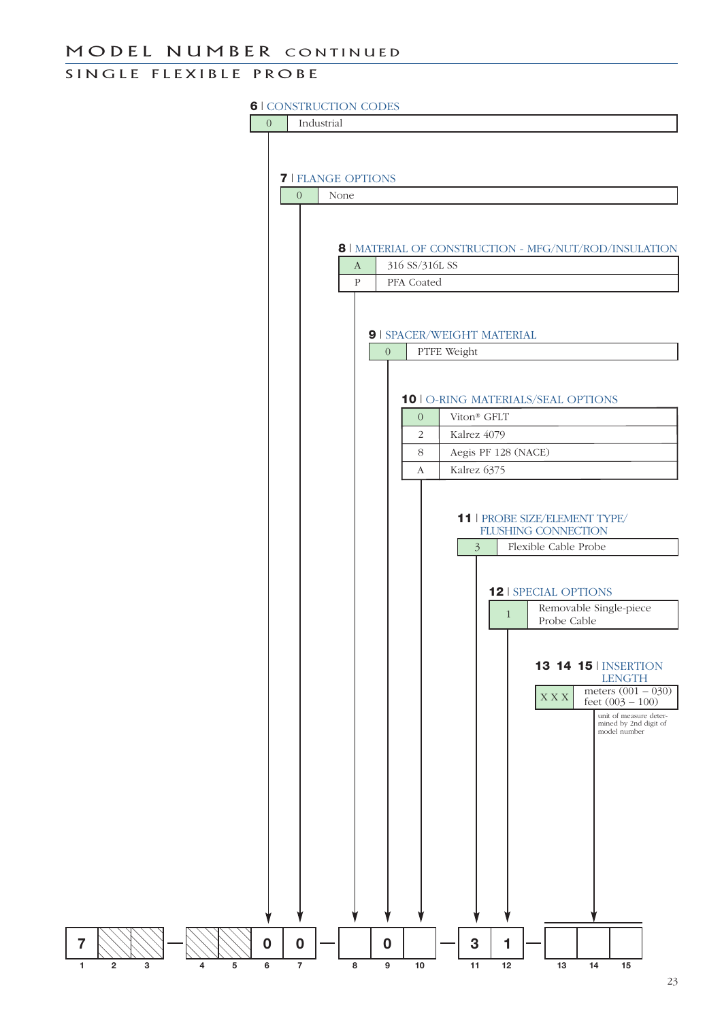### SINGLE FLEXIBLE PROBE

#### **6** | CONSTRUCTION CODES

0 Industrial

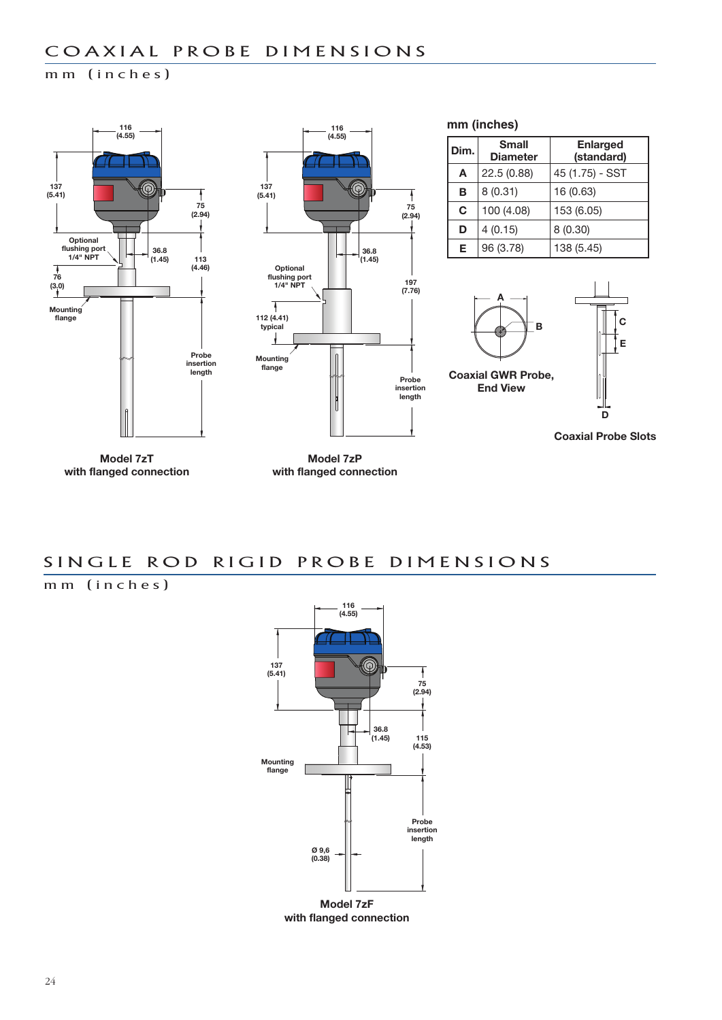### m m (inches)



**Model 7zT with flanged connection**

**Model 7zP with flanged connection**

### SINGLE ROD RIGID PROBE DIMENSIONS

m m (inches)



**Model 7zF with flanged connection**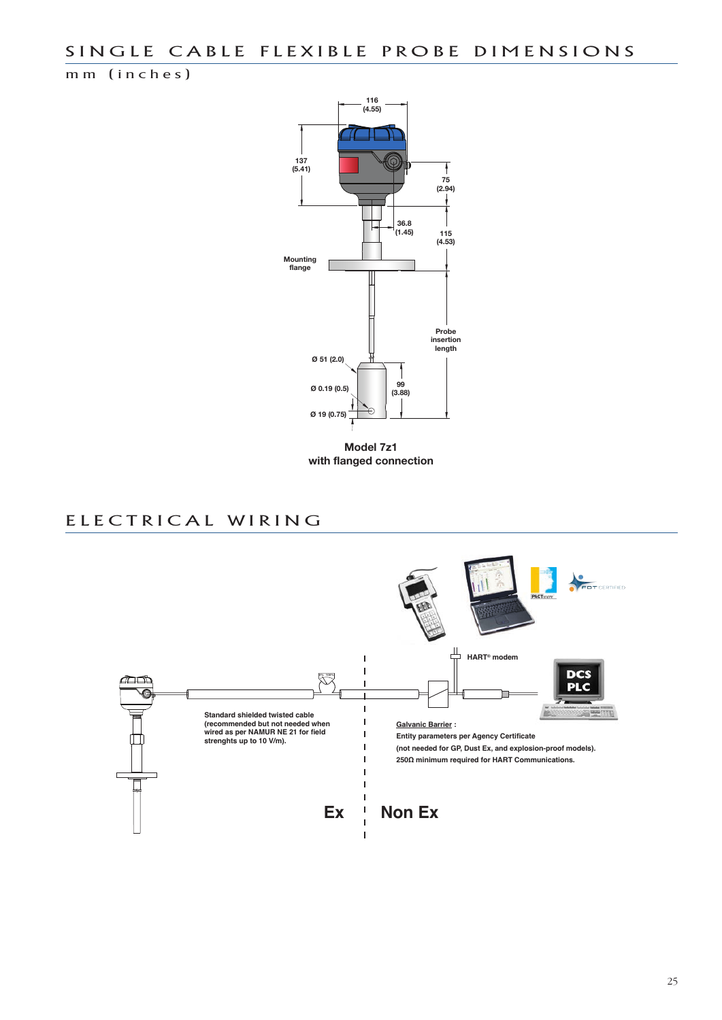m m ( in ches)



**Model 7z1 with flanged connection**

### E LE CTRICAL WIRING

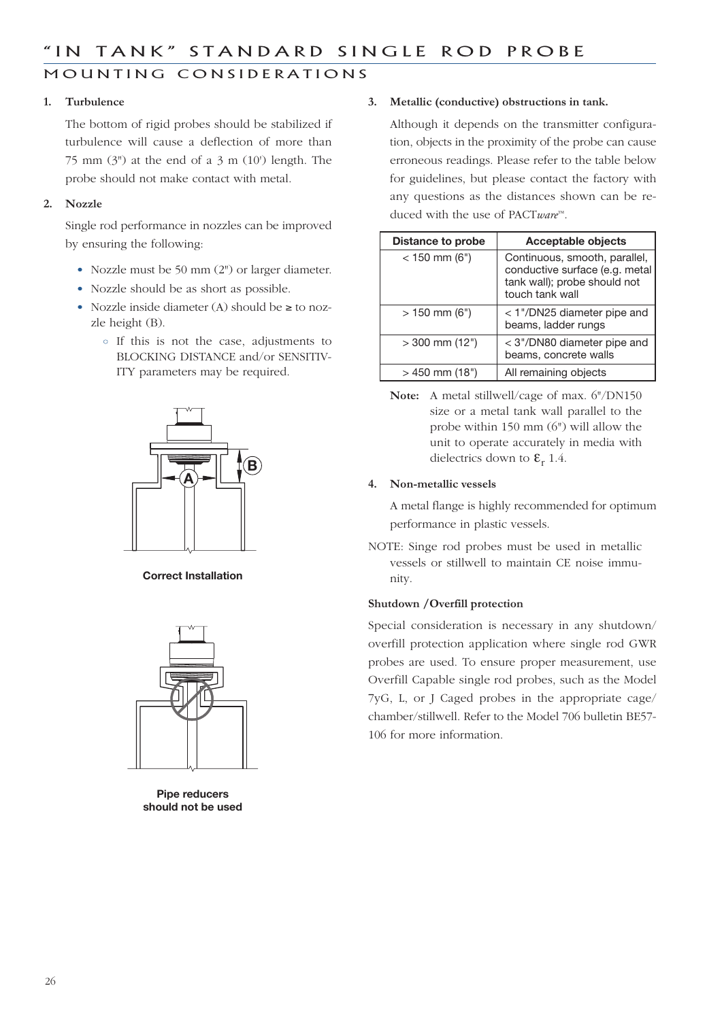### MOUNTING CONSIDERATIONS

#### **1. Turbulence**

The bottom of rigid probes should be stabilized if turbulence will cause a deflection of more than 75 mm  $(3)$ " at the end of a 3 m  $(10)$  length. The probe should not make contact with metal.

#### **2. Nozzle**

Single rod performance in nozzles can be improved by ensuring the following:

- Nozzle must be 50 mm (2") or larger diameter.
- Nozzle should be as short as possible.
- Nozzle inside diameter (A) should be ≥ to nozzle height (B).
	- If this is not the case, adjustments to BLOCKING DISTANCE and/or SENSITIV-ITY parameters may be required.



**Correct Installation**



**Pipe reducers should not be used**

#### **3. Metallic (conductive) obstructions in tank.**

Although it depends on the transmitter configuration, objects in the proximity of the probe can cause erroneous readings. Please refer to the table below for guidelines, but please contact the factory with any questions as the distances shown can be reduced with the use of PACT*ware*™.

| <b>Distance to probe</b> | <b>Acceptable objects</b>                                                                                          |  |  |  |  |  |
|--------------------------|--------------------------------------------------------------------------------------------------------------------|--|--|--|--|--|
| $<$ 150 mm (6")          | Continuous, smooth, parallel,<br>conductive surface (e.g. metal<br>tank wall); probe should not<br>touch tank wall |  |  |  |  |  |
| $> 150$ mm (6")          | $<$ 1"/DN25 diameter pipe and<br>beams, ladder rungs                                                               |  |  |  |  |  |
| $>$ 300 mm (12")         | < 3"/DN80 diameter pipe and<br>beams, concrete walls                                                               |  |  |  |  |  |
| $>$ 450 mm (18")         | All remaining objects                                                                                              |  |  |  |  |  |

**Note:** A metal stillwell/cage of max. 6"/DN150 size or a metal tank wall parallel to the probe within 150 mm (6") will allow the unit to operate accurately in media with dielectrics down to  $\mathbf{\varepsilon}_r$  1.4.

#### **4. Non-metallic vessels**

A metal flange is highly recommended for optimum performance in plastic vessels.

NOTE: Singe rod probes must be used in metallic vessels or stillwell to maintain CE noise immunity.

#### **Shutdown /Overfill protection**

Special consideration is necessary in any shutdown/ overfill protection application where single rod GWR probes are used. To ensure proper measurement, use Overfill Capable single rod probes, such as the Model 7yG, L, or J Caged probes in the appropriate cage/ chamber/stillwell. Refer to the Model 706 bulletin BE57- 106 for more information.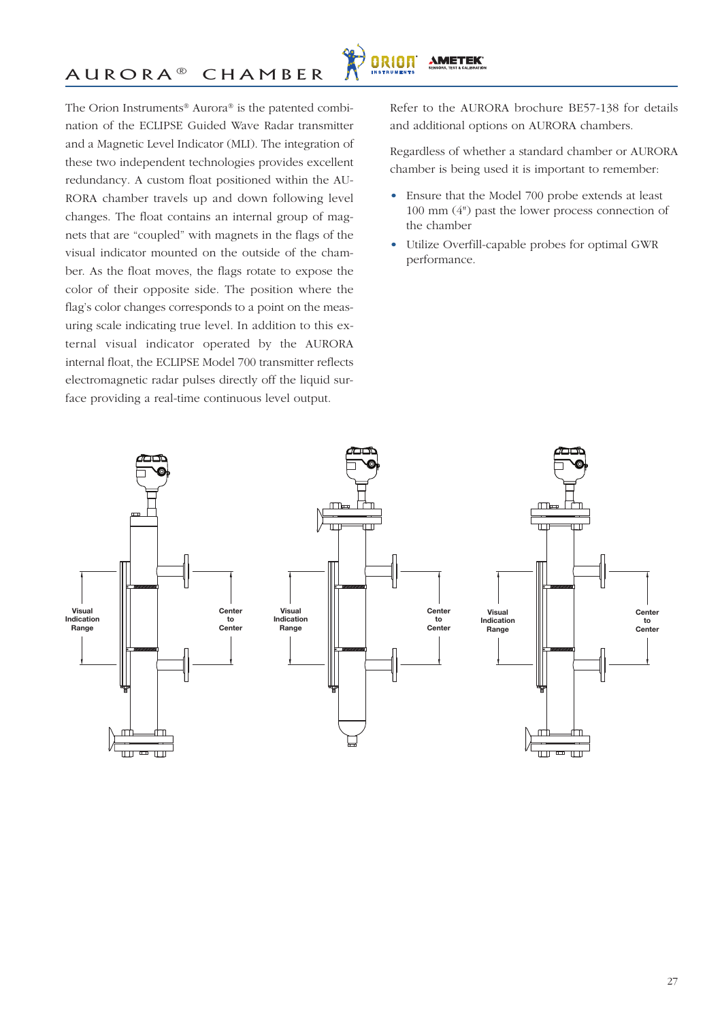The Orion Instruments® Aurora® is the patented combination of the ECLIPSE Guided Wave Radar transmitter and a Magnetic Level Indicator (MLI). The integration of these two independent technologies provides excellent redundancy. A custom float positioned within the AU-RORA chamber travels up and down following level changes. The float contains an internal group of magnets that are "coupled" with magnets in the flags of the visual indicator mounted on the outside of the chamber. As the float moves, the flags rotate to expose the color of their opposite side. The position where the flag's color changes corresponds to a point on the measuring scale indicating true level. In addition to this external visual indicator operated by the AURORA internal float, the ECLIPSE Model 700 transmitter reflects electromagnetic radar pulses directly off the liquid surface providing a real-time continuous level output.

Refer to the AURORA brochure BE57-138 for details and additional options on AURORA chambers.

Regardless of whether a standard chamber or AURORA chamber is being used it is important to remember:

- Ensure that the Model 700 probe extends at least 100 mm (4") past the lower process connection of the chamber
- Utilize Overfill-capable probes for optimal GWR performance.



**ORION** 

**AMETEK®**